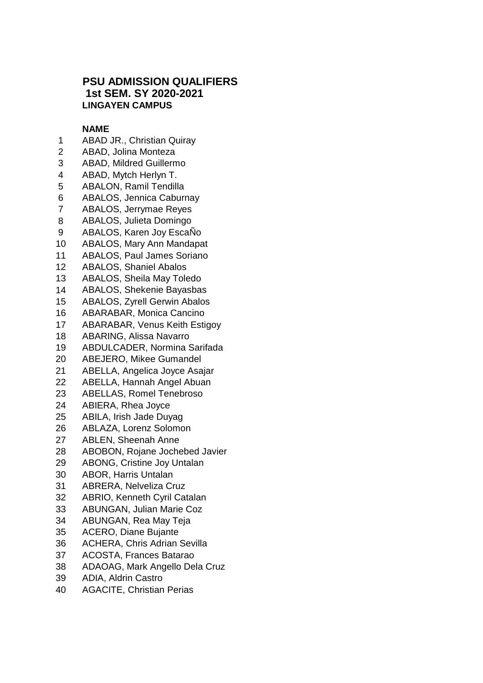## **PSU ADMISSION QUALIFIERS 1st SEM. SY 2020-2021 LINGAYEN CAMPUS**

## **NAME**

- ABAD JR., Christian Quiray
- ABAD, Jolina Monteza
- ABAD, Mildred Guillermo
- ABAD, Mytch Herlyn T.
- ABALON, Ramil Tendilla
- ABALOS, Jennica Caburnay
- ABALOS, Jerrymae Reyes
- ABALOS, Julieta Domingo
- ABALOS, Karen Joy EscaÑo
- ABALOS, Mary Ann Mandapat
- ABALOS, Paul James Soriano
- ABALOS, Shaniel Abalos
- ABALOS, Sheila May Toledo
- ABALOS, Shekenie Bayasbas
- ABALOS, Zyrell Gerwin Abalos
- ABARABAR, Monica Cancino
- ABARABAR, Venus Keith Estigoy
- ABARING, Alissa Navarro
- ABDULCADER, Normina Sarifada
- ABEJERO, Mikee Gumandel
- ABELLA, Angelica Joyce Asajar
- ABELLA, Hannah Angel Abuan
- ABELLAS, Romel Tenebroso
- ABIERA, Rhea Joyce
- ABILA, Irish Jade Duyag
- ABLAZA, Lorenz Solomon
- ABLEN, Sheenah Anne
- ABOBON, Rojane Jochebed Javier
- ABONG, Cristine Joy Untalan
- ABOR, Harris Untalan
- ABRERA, Nelveliza Cruz
- ABRIO, Kenneth Cyril Catalan
- ABUNGAN, Julian Marie Coz
- ABUNGAN, Rea May Teja
- ACERO, Diane Bujante
- ACHERA, Chris Adrian Sevilla
- ACOSTA, Frances Batarao
- ADAOAG, Mark Angello Dela Cruz
- ADIA, Aldrin Castro
- AGACITE, Christian Perias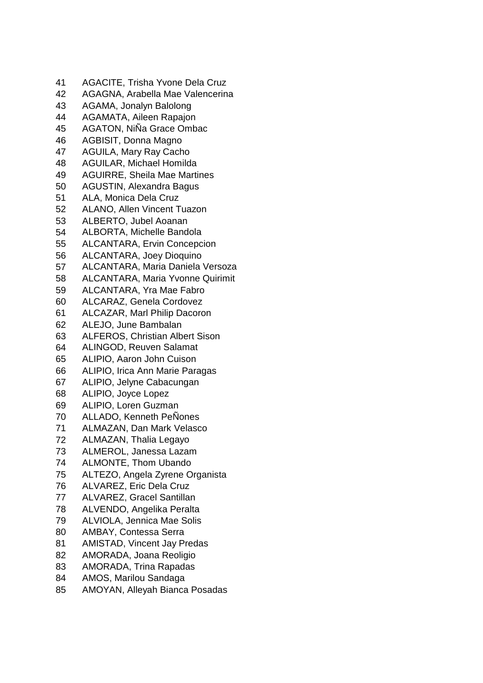AGACITE, Trisha Yvone Dela Cruz AGAGNA, Arabella Mae Valencerina AGAMA, Jonalyn Balolong AGAMATA, Aileen Rapajon AGATON, NiÑa Grace Ombac AGBISIT, Donna Magno AGUILA, Mary Ray Cacho AGUILAR, Michael Homilda AGUIRRE, Sheila Mae Martines AGUSTIN, Alexandra Bagus ALA, Monica Dela Cruz ALANO, Allen Vincent Tuazon ALBERTO, Jubel Aoanan ALBORTA, Michelle Bandola ALCANTARA, Ervin Concepcion ALCANTARA, Joey Dioquino ALCANTARA, Maria Daniela Versoza ALCANTARA, Maria Yvonne Quirimit ALCANTARA, Yra Mae Fabro ALCARAZ, Genela Cordovez ALCAZAR, Marl Philip Dacoron ALEJO, June Bambalan ALFEROS, Christian Albert Sison ALINGOD, Reuven Salamat ALIPIO, Aaron John Cuison ALIPIO, Irica Ann Marie Paragas ALIPIO, Jelyne Cabacungan ALIPIO, Joyce Lopez ALIPIO, Loren Guzman ALLADO, Kenneth PeÑones ALMAZAN, Dan Mark Velasco ALMAZAN, Thalia Legayo ALMEROL, Janessa Lazam ALMONTE, Thom Ubando ALTEZO, Angela Zyrene Organista ALVAREZ, Eric Dela Cruz ALVAREZ, Gracel Santillan ALVENDO, Angelika Peralta ALVIOLA, Jennica Mae Solis AMBAY, Contessa Serra AMISTAD, Vincent Jay Predas AMORADA, Joana Reoligio AMORADA, Trina Rapadas AMOS, Marilou Sandaga AMOYAN, Alleyah Bianca Posadas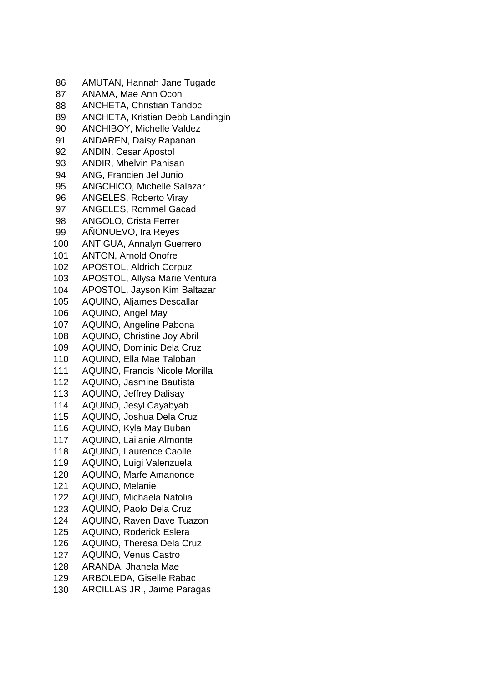| 86  | AMUTAN, Hannah Jane Tugade            |
|-----|---------------------------------------|
| 87  | ANAMA, Mae Ann Ocon                   |
| 88  | <b>ANCHETA, Christian Tandoc</b>      |
| 89  | ANCHETA, Kristian Debb Landingin      |
| 90  | <b>ANCHIBOY, Michelle Valdez</b>      |
| 91  | <b>ANDAREN, Daisy Rapanan</b>         |
| 92  | <b>ANDIN, Cesar Apostol</b>           |
| 93  | <b>ANDIR, Mhelvin Panisan</b>         |
| 94  | ANG, Francien Jel Junio               |
| 95  | <b>ANGCHICO, Michelle Salazar</b>     |
| 96  | <b>ANGELES, Roberto Viray</b>         |
| 97  | <b>ANGELES, Rommel Gacad</b>          |
| 98  | <b>ANGOLO, Crista Ferrer</b>          |
| 99  | AÑONUEVO, Ira Reyes                   |
| 100 | <b>ANTIGUA, Annalyn Guerrero</b>      |
| 101 | <b>ANTON, Arnold Onofre</b>           |
| 102 | APOSTOL, Aldrich Corpuz               |
| 103 | APOSTOL, Allysa Marie Ventura         |
| 104 | APOSTOL, Jayson Kim Baltazar          |
| 105 | <b>AQUINO, Aljames Descallar</b>      |
| 106 | <b>AQUINO, Angel May</b>              |
| 107 | AQUINO, Angeline Pabona               |
| 108 | AQUINO, Christine Joy Abril           |
| 109 | <b>AQUINO, Dominic Dela Cruz</b>      |
| 110 | AQUINO, Ella Mae Taloban              |
| 111 | <b>AQUINO, Francis Nicole Morilla</b> |
| 112 | <b>AQUINO, Jasmine Bautista</b>       |
| 113 | <b>AQUINO, Jeffrey Dalisay</b>        |
| 114 | AQUINO, Jesyl Cayabyab                |
| 115 | <b>AQUINO, Joshua Dela Cruz</b>       |
| 116 | <b>AQUINO, Kyla May Buban</b>         |
| 117 | AQUINO, Lailanie Almonte              |
| 118 | AQUINO, Laurence Caoile               |
| 119 | AQUINO, Luigi Valenzuela              |
| 120 | AQUINO, Marfe Amanonce                |
| 121 | AQUINO, Melanie                       |
| 122 | AQUINO, Michaela Natolia              |
| 123 | <b>AQUINO, Paolo Dela Cruz</b>        |
| 124 | <b>AQUINO, Raven Dave Tuazon</b>      |
| 125 | <b>AQUINO, Roderick Eslera</b>        |
| 126 | <b>AQUINO, Theresa Dela Cruz</b>      |
| 127 | <b>AQUINO, Venus Castro</b>           |
| 128 | ARANDA, Jhanela Mae                   |
| 129 | <b>ARBOLEDA, Giselle Rabac</b>        |
| 130 | <b>ARCILLAS JR., Jaime Paragas</b>    |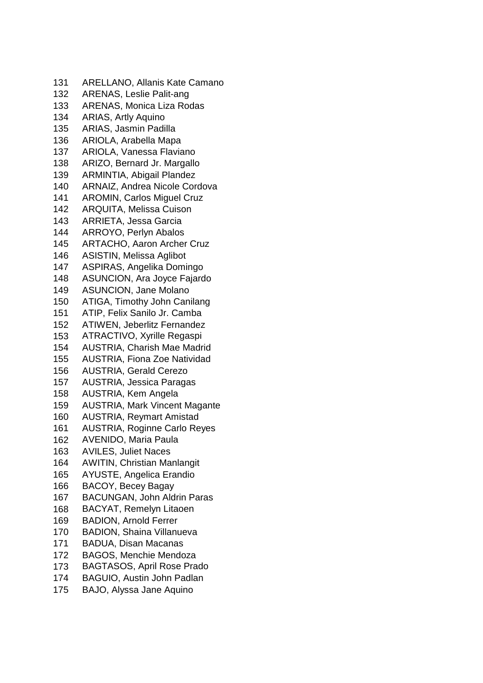ARELLANO, Allanis Kate Camano ARENAS, Leslie Palit-ang ARENAS, Monica Liza Rodas ARIAS, Artly Aquino ARIAS, Jasmin Padilla ARIOLA, Arabella Mapa ARIOLA, Vanessa Flaviano ARIZO, Bernard Jr. Margallo ARMINTIA, Abigail Plandez ARNAIZ, Andrea Nicole Cordova AROMIN, Carlos Miguel Cruz ARQUITA, Melissa Cuison ARRIETA, Jessa Garcia ARROYO, Perlyn Abalos ARTACHO, Aaron Archer Cruz ASISTIN, Melissa Aglibot ASPIRAS, Angelika Domingo ASUNCION, Ara Joyce Fajardo ASUNCION, Jane Molano ATIGA, Timothy John Canilang ATIP, Felix Sanilo Jr. Camba ATIWEN, Jeberlitz Fernandez ATRACTIVO, Xyrille Regaspi AUSTRIA, Charish Mae Madrid AUSTRIA, Fiona Zoe Natividad AUSTRIA, Gerald Cerezo AUSTRIA, Jessica Paragas AUSTRIA, Kem Angela AUSTRIA, Mark Vincent Magante AUSTRIA, Reymart Amistad AUSTRIA, Roginne Carlo Reyes AVENIDO, Maria Paula AVILES, Juliet Naces AWITIN, Christian Manlangit AYUSTE, Angelica Erandio BACOY, Becey Bagay BACUNGAN, John Aldrin Paras BACYAT, Remelyn Litaoen BADION, Arnold Ferrer BADION, Shaina Villanueva BADUA, Disan Macanas BAGOS, Menchie Mendoza BAGTASOS, April Rose Prado BAGUIO, Austin John Padlan BAJO, Alyssa Jane Aquino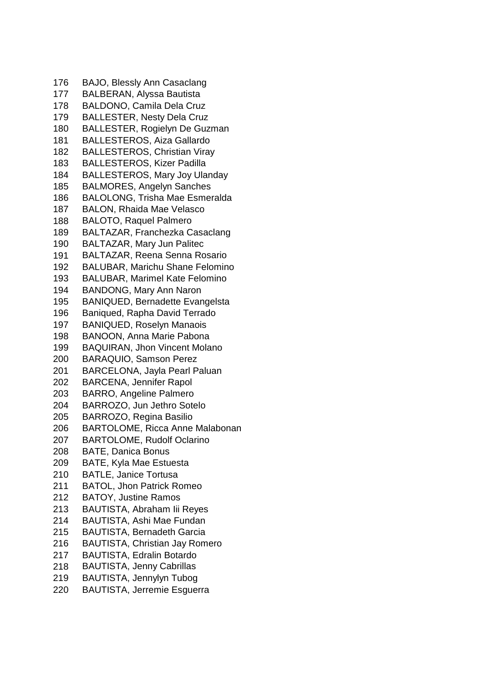BAJO, Blessly Ann Casaclang BALBERAN, Alyssa Bautista BALDONO, Camila Dela Cruz BALLESTER, Nesty Dela Cruz BALLESTER, Rogielyn De Guzman BALLESTEROS, Aiza Gallardo BALLESTEROS, Christian Viray BALLESTEROS, Kizer Padilla BALLESTEROS, Mary Joy Ulanday BALMORES, Angelyn Sanches BALOLONG, Trisha Mae Esmeralda BALON, Rhaida Mae Velasco BALOTO, Raquel Palmero BALTAZAR, Franchezka Casaclang BALTAZAR, Mary Jun Palitec BALTAZAR, Reena Senna Rosario BALUBAR, Marichu Shane Felomino BALUBAR, Marimel Kate Felomino BANDONG, Mary Ann Naron BANIQUED, Bernadette Evangelsta Baniqued, Rapha David Terrado BANIQUED, Roselyn Manaois BANOON, Anna Marie Pabona BAQUIRAN, Jhon Vincent Molano BARAQUIO, Samson Perez BARCELONA, Jayla Pearl Paluan BARCENA, Jennifer Rapol BARRO, Angeline Palmero BARROZO, Jun Jethro Sotelo BARROZO, Regina Basilio BARTOLOME, Ricca Anne Malabonan BARTOLOME, Rudolf Oclarino BATE, Danica Bonus BATE, Kyla Mae Estuesta BATLE, Janice Tortusa BATOL, Jhon Patrick Romeo BATOY, Justine Ramos BAUTISTA, Abraham Iii Reyes BAUTISTA, Ashi Mae Fundan BAUTISTA, Bernadeth Garcia BAUTISTA, Christian Jay Romero BAUTISTA, Edralin Botardo BAUTISTA, Jenny Cabrillas BAUTISTA, Jennylyn Tubog BAUTISTA, Jerremie Esguerra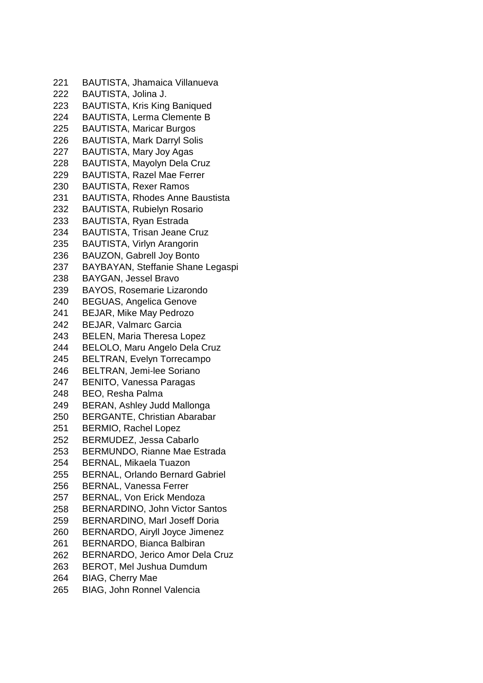BAUTISTA, Jhamaica Villanueva BAUTISTA, Jolina J. BAUTISTA, Kris King Baniqued BAUTISTA, Lerma Clemente B BAUTISTA, Maricar Burgos BAUTISTA, Mark Darryl Solis BAUTISTA, Mary Joy Agas BAUTISTA, Mayolyn Dela Cruz BAUTISTA, Razel Mae Ferrer BAUTISTA, Rexer Ramos BAUTISTA, Rhodes Anne Baustista BAUTISTA, Rubielyn Rosario BAUTISTA, Ryan Estrada BAUTISTA, Trisan Jeane Cruz BAUTISTA, Virlyn Arangorin BAUZON, Gabrell Joy Bonto BAYBAYAN, Steffanie Shane Legaspi BAYGAN, Jessel Bravo BAYOS, Rosemarie Lizarondo BEGUAS, Angelica Genove BEJAR, Mike May Pedrozo BEJAR, Valmarc Garcia BELEN, Maria Theresa Lopez BELOLO, Maru Angelo Dela Cruz BELTRAN, Evelyn Torrecampo BELTRAN, Jemi-lee Soriano BENITO, Vanessa Paragas BEO, Resha Palma BERAN, Ashley Judd Mallonga BERGANTE, Christian Abarabar BERMIO, Rachel Lopez BERMUDEZ, Jessa Cabarlo BERMUNDO, Rianne Mae Estrada BERNAL, Mikaela Tuazon BERNAL, Orlando Bernard Gabriel BERNAL, Vanessa Ferrer BERNAL, Von Erick Mendoza BERNARDINO, John Victor Santos BERNARDINO, Marl Joseff Doria BERNARDO, Airyll Joyce Jimenez BERNARDO, Bianca Balbiran BERNARDO, Jerico Amor Dela Cruz BEROT, Mel Jushua Dumdum BIAG, Cherry Mae BIAG, John Ronnel Valencia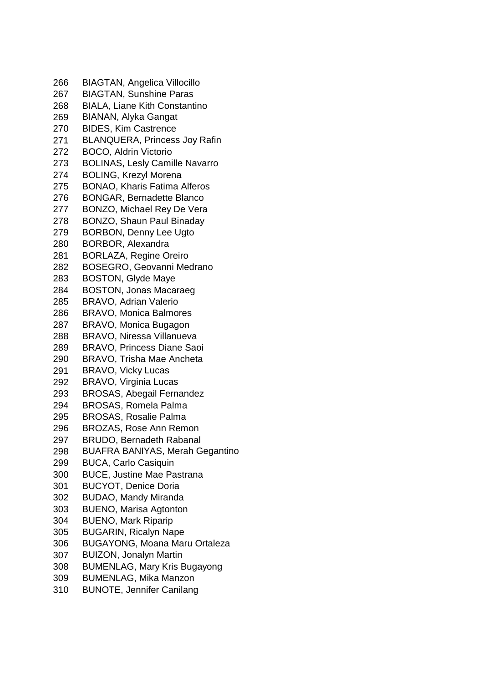| 266 | <b>BIAGTAN, Angelica Villocillo</b>    |
|-----|----------------------------------------|
| 267 | <b>BIAGTAN, Sunshine Paras</b>         |
| 268 | <b>BIALA, Liane Kith Constantino</b>   |
| 269 | <b>BIANAN, Alyka Gangat</b>            |
| 270 | <b>BIDES, Kim Castrence</b>            |
| 271 | <b>BLANQUERA, Princess Joy Rafin</b>   |
| 272 | <b>BOCO, Aldrin Victorio</b>           |
| 273 | <b>BOLINAS, Lesly Camille Navarro</b>  |
| 274 | <b>BOLING, Krezyl Morena</b>           |
| 275 | <b>BONAO, Kharis Fatima Alferos</b>    |
| 276 | <b>BONGAR, Bernadette Blanco</b>       |
| 277 | <b>BONZO, Michael Rey De Vera</b>      |
| 278 | <b>BONZO, Shaun Paul Binaday</b>       |
| 279 | <b>BORBON, Denny Lee Ugto</b>          |
| 280 | <b>BORBOR, Alexandra</b>               |
| 281 | <b>BORLAZA, Regine Oreiro</b>          |
| 282 | <b>BOSEGRO, Geovanni Medrano</b>       |
| 283 | <b>BOSTON, Glyde Maye</b>              |
| 284 | <b>BOSTON, Jonas Macaraeg</b>          |
| 285 | <b>BRAVO, Adrian Valerio</b>           |
| 286 | <b>BRAVO, Monica Balmores</b>          |
| 287 | BRAVO, Monica Bugagon                  |
| 288 | <b>BRAVO, Niressa Villanueva</b>       |
| 289 | <b>BRAVO, Princess Diane Saoi</b>      |
| 290 | <b>BRAVO, Trisha Mae Ancheta</b>       |
| 291 | <b>BRAVO, Vicky Lucas</b>              |
| 292 | BRAVO, Virginia Lucas                  |
| 293 | <b>BROSAS, Abegail Fernandez</b>       |
| 294 | <b>BROSAS, Romela Palma</b>            |
| 295 | <b>BROSAS, Rosalie Palma</b>           |
| 296 | <b>BROZAS, Rose Ann Remon</b>          |
| 297 | <b>BRUDO, Bernadeth Rabanal</b>        |
| 298 | <b>BUAFRA BANIYAS, Merah Gegantino</b> |
| 299 | <b>BUCA, Carlo Casiquin</b>            |
| 300 | <b>BUCE, Justine Mae Pastrana</b>      |
| 301 | <b>BUCYOT, Denice Doria</b>            |
| 302 | <b>BUDAO, Mandy Miranda</b>            |
| 303 | <b>BUENO, Marisa Agtonton</b>          |
| 304 | <b>BUENO, Mark Riparip</b>             |
| 305 | <b>BUGARIN, Ricalyn Nape</b>           |
| 306 | <b>BUGAYONG, Moana Maru Ortaleza</b>   |
| 307 | <b>BUIZON, Jonalyn Martin</b>          |
| 308 | <b>BUMENLAG, Mary Kris Bugayong</b>    |
| 309 | <b>BUMENLAG, Mika Manzon</b>           |
| 310 | <b>BUNOTE, Jennifer Canilang</b>       |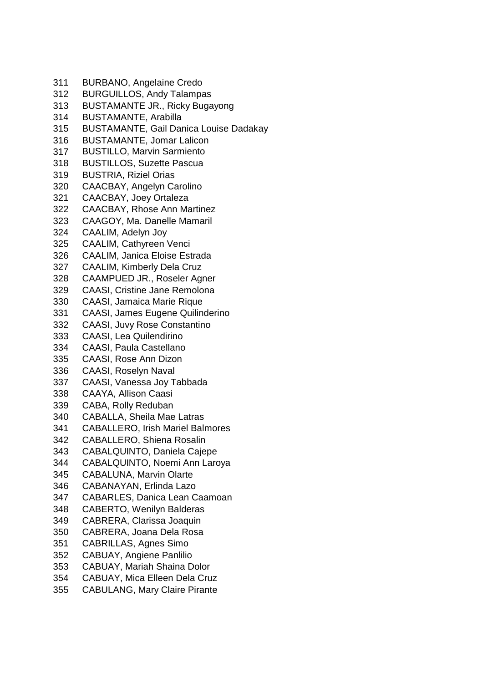- BURBANO, Angelaine Credo
- BURGUILLOS, Andy Talampas
- BUSTAMANTE JR., Ricky Bugayong
- BUSTAMANTE, Arabilla
- BUSTAMANTE, Gail Danica Louise Dadakay
- BUSTAMANTE, Jomar Lalicon
- BUSTILLO, Marvin Sarmiento
- BUSTILLOS, Suzette Pascua
- BUSTRIA, Riziel Orias
- CAACBAY, Angelyn Carolino
- CAACBAY, Joey Ortaleza
- CAACBAY, Rhose Ann Martinez
- CAAGOY, Ma. Danelle Mamaril
- CAALIM, Adelyn Joy
- CAALIM, Cathyreen Venci
- CAALIM, Janica Eloise Estrada
- CAALIM, Kimberly Dela Cruz
- CAAMPUED JR., Roseler Agner
- CAASI, Cristine Jane Remolona
- CAASI, Jamaica Marie Rique
- CAASI, James Eugene Quilinderino
- CAASI, Juvy Rose Constantino
- CAASI, Lea Quilendirino
- CAASI, Paula Castellano
- CAASI, Rose Ann Dizon
- CAASI, Roselyn Naval
- CAASI, Vanessa Joy Tabbada
- CAAYA, Allison Caasi
- CABA, Rolly Reduban
- CABALLA, Sheila Mae Latras
- CABALLERO, Irish Mariel Balmores
- CABALLERO, Shiena Rosalin
- CABALQUINTO, Daniela Cajepe
- CABALQUINTO, Noemi Ann Laroya
- CABALUNA, Marvin Olarte
- CABANAYAN, Erlinda Lazo
- CABARLES, Danica Lean Caamoan
- CABERTO, Wenilyn Balderas
- CABRERA, Clarissa Joaquin
- CABRERA, Joana Dela Rosa
- CABRILLAS, Agnes Simo
- CABUAY, Angiene Panlilio
- CABUAY, Mariah Shaina Dolor
- CABUAY, Mica Elleen Dela Cruz
- CABULANG, Mary Claire Pirante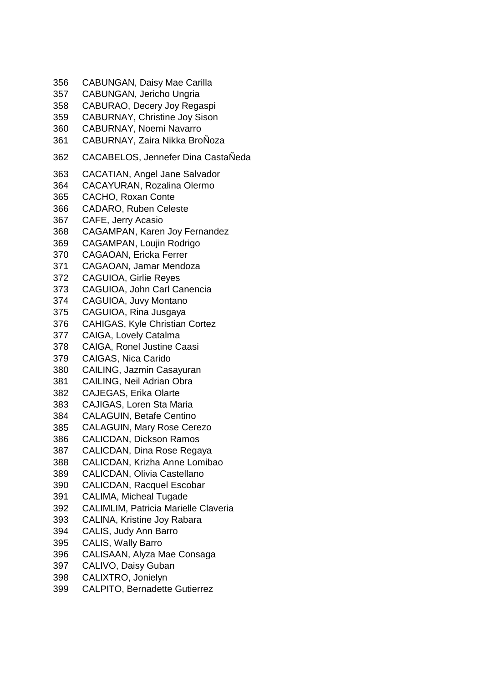CABUNGAN, Daisy Mae Carilla CABUNGAN, Jericho Ungria CABURAO, Decery Joy Regaspi CABURNAY, Christine Joy Sison CABURNAY, Noemi Navarro CABURNAY, Zaira Nikka BroÑoza CACABELOS, Jennefer Dina CastaÑeda CACATIAN, Angel Jane Salvador CACAYURAN, Rozalina Olermo CACHO, Roxan Conte CADARO, Ruben Celeste CAFE, Jerry Acasio CAGAMPAN, Karen Joy Fernandez CAGAMPAN, Loujin Rodrigo CAGAOAN, Ericka Ferrer CAGAOAN, Jamar Mendoza CAGUIOA, Girlie Reyes CAGUIOA, John Carl Canencia CAGUIOA, Juvy Montano CAGUIOA, Rina Jusgaya CAHIGAS, Kyle Christian Cortez CAIGA, Lovely Catalma CAIGA, Ronel Justine Caasi CAIGAS, Nica Carido CAILING, Jazmin Casayuran CAILING, Neil Adrian Obra CAJEGAS, Erika Olarte CAJIGAS, Loren Sta Maria CALAGUIN, Betafe Centino CALAGUIN, Mary Rose Cerezo CALICDAN, Dickson Ramos CALICDAN, Dina Rose Regaya CALICDAN, Krizha Anne Lomibao CALICDAN, Olivia Castellano CALICDAN, Racquel Escobar CALIMA, Micheal Tugade CALIMLIM, Patricia Marielle Claveria CALINA, Kristine Joy Rabara CALIS, Judy Ann Barro CALIS, Wally Barro CALISAAN, Alyza Mae Consaga CALIVO, Daisy Guban CALIXTRO, Jonielyn CALPITO, Bernadette Gutierrez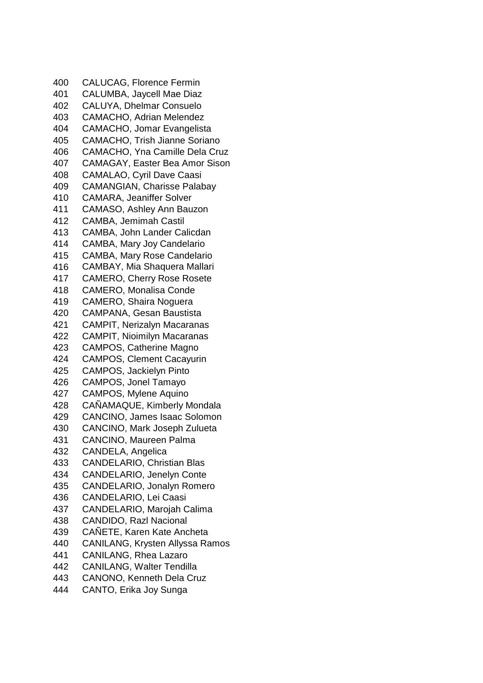CALUCAG, Florence Fermin CALUMBA, Jaycell Mae Diaz CALUYA, Dhelmar Consuelo CAMACHO, Adrian Melendez CAMACHO, Jomar Evangelista CAMACHO, Trish Jianne Soriano CAMACHO, Yna Camille Dela Cruz CAMAGAY, Easter Bea Amor Sison CAMALAO, Cyril Dave Caasi CAMANGIAN, Charisse Palabay CAMARA, Jeaniffer Solver CAMASO, Ashley Ann Bauzon CAMBA, Jemimah Castil CAMBA, John Lander Calicdan CAMBA, Mary Joy Candelario CAMBA, Mary Rose Candelario CAMBAY, Mia Shaquera Mallari CAMERO, Cherry Rose Rosete CAMERO, Monalisa Conde CAMERO, Shaira Noguera CAMPANA, Gesan Baustista CAMPIT, Nerizalyn Macaranas CAMPIT, Nioimilyn Macaranas CAMPOS, Catherine Magno CAMPOS, Clement Cacayurin CAMPOS, Jackielyn Pinto CAMPOS, Jonel Tamayo CAMPOS, Mylene Aquino CAÑAMAQUE, Kimberly Mondala CANCINO, James Isaac Solomon CANCINO, Mark Joseph Zulueta CANCINO, Maureen Palma CANDELA, Angelica CANDELARIO, Christian Blas CANDELARIO, Jenelyn Conte CANDELARIO, Jonalyn Romero CANDELARIO, Lei Caasi CANDELARIO, Marojah Calima CANDIDO, Razl Nacional CAÑETE, Karen Kate Ancheta CANILANG, Krysten Allyssa Ramos CANILANG, Rhea Lazaro CANILANG, Walter Tendilla CANONO, Kenneth Dela Cruz CANTO, Erika Joy Sunga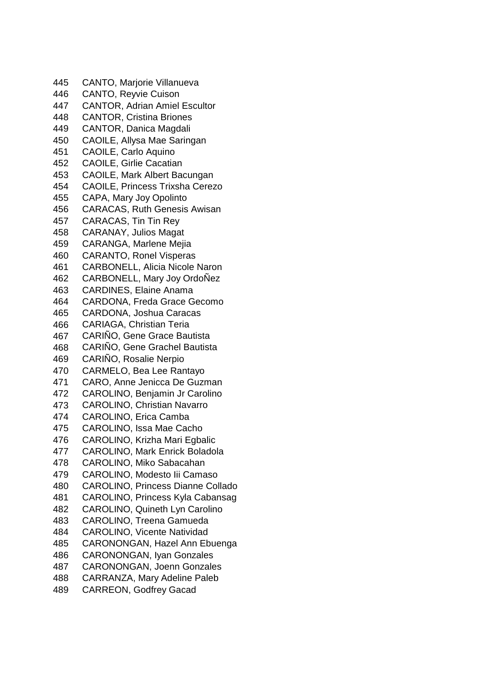CANTO, Marjorie Villanueva CANTO, Reyvie Cuison CANTOR, Adrian Amiel Escultor CANTOR, Cristina Briones CANTOR, Danica Magdali CAOILE, Allysa Mae Saringan CAOILE, Carlo Aquino CAOILE, Girlie Cacatian CAOILE, Mark Albert Bacungan CAOILE, Princess Trixsha Cerezo CAPA, Mary Joy Opolinto CARACAS, Ruth Genesis Awisan CARACAS, Tin Tin Rey CARANAY, Julios Magat CARANGA, Marlene Mejia CARANTO, Ronel Visperas CARBONELL, Alicia Nicole Naron CARBONELL, Mary Joy OrdoÑez CARDINES, Elaine Anama CARDONA, Freda Grace Gecomo CARDONA, Joshua Caracas CARIAGA, Christian Teria CARIÑO, Gene Grace Bautista CARIÑO, Gene Grachel Bautista CARIÑO, Rosalie Nerpio CARMELO, Bea Lee Rantayo CARO, Anne Jenicca De Guzman CAROLINO, Benjamin Jr Carolino CAROLINO, Christian Navarro CAROLINO, Erica Camba CAROLINO, Issa Mae Cacho CAROLINO, Krizha Mari Egbalic CAROLINO, Mark Enrick Boladola CAROLINO, Miko Sabacahan CAROLINO, Modesto Iii Camaso CAROLINO, Princess Dianne Collado CAROLINO, Princess Kyla Cabansag CAROLINO, Quineth Lyn Carolino CAROLINO, Treena Gamueda CAROLINO, Vicente Natividad CARONONGAN, Hazel Ann Ebuenga CARONONGAN, Iyan Gonzales CARONONGAN, Joenn Gonzales CARRANZA, Mary Adeline Paleb CARREON, Godfrey Gacad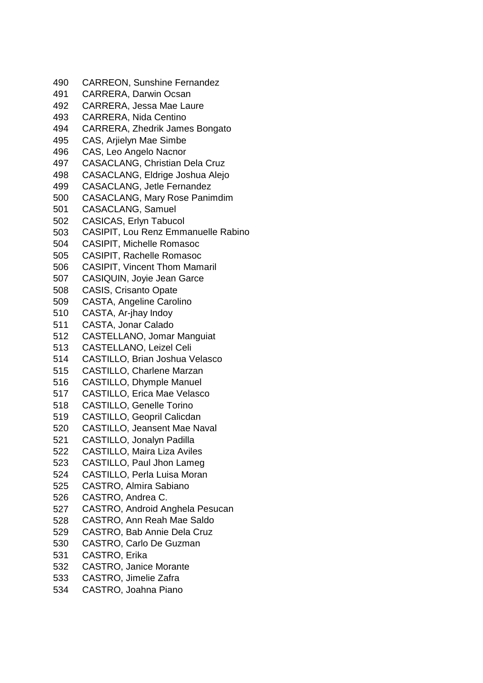CARREON, Sunshine Fernandez CARRERA, Darwin Ocsan CARRERA, Jessa Mae Laure CARRERA, Nida Centino CARRERA, Zhedrik James Bongato CAS, Arjielyn Mae Simbe CAS, Leo Angelo Nacnor CASACLANG, Christian Dela Cruz CASACLANG, Eldrige Joshua Alejo CASACLANG, Jetle Fernandez CASACLANG, Mary Rose Panimdim CASACLANG, Samuel CASICAS, Erlyn Tabucol CASIPIT, Lou Renz Emmanuelle Rabino CASIPIT, Michelle Romasoc CASIPIT, Rachelle Romasoc CASIPIT, Vincent Thom Mamaril CASIQUIN, Joyie Jean Garce CASIS, Crisanto Opate CASTA, Angeline Carolino CASTA, Ar-jhay Indoy CASTA, Jonar Calado CASTELLANO, Jomar Manguiat CASTELLANO, Leizel Celi CASTILLO, Brian Joshua Velasco CASTILLO, Charlene Marzan CASTILLO, Dhymple Manuel CASTILLO, Erica Mae Velasco CASTILLO, Genelle Torino CASTILLO, Geopril Calicdan CASTILLO, Jeansent Mae Naval CASTILLO, Jonalyn Padilla CASTILLO, Maira Liza Aviles CASTILLO, Paul Jhon Lameg CASTILLO, Perla Luisa Moran CASTRO, Almira Sabiano CASTRO, Andrea C. CASTRO, Android Anghela Pesucan CASTRO, Ann Reah Mae Saldo CASTRO, Bab Annie Dela Cruz CASTRO, Carlo De Guzman CASTRO, Erika CASTRO, Janice Morante CASTRO, Jimelie Zafra CASTRO, Joahna Piano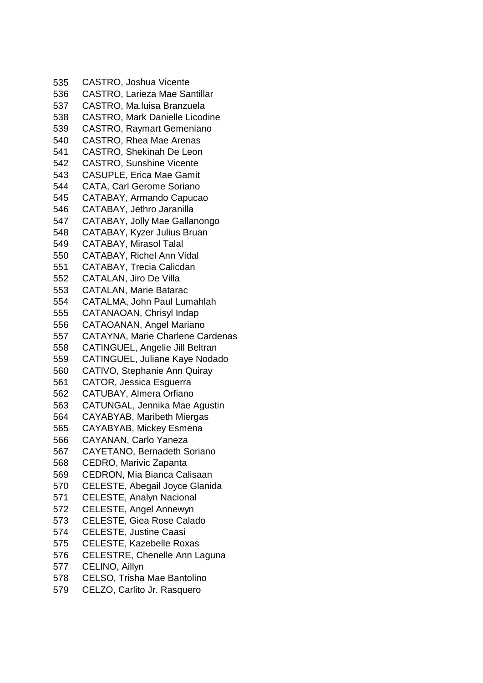CASTRO, Joshua Vicente CASTRO, Larieza Mae Santillar CASTRO, Ma.luisa Branzuela CASTRO, Mark Danielle Licodine CASTRO, Raymart Gemeniano CASTRO, Rhea Mae Arenas CASTRO, Shekinah De Leon CASTRO, Sunshine Vicente CASUPLE, Erica Mae Gamit CATA, Carl Gerome Soriano CATABAY, Armando Capucao CATABAY, Jethro Jaranilla CATABAY, Jolly Mae Gallanongo CATABAY, Kyzer Julius Bruan CATABAY, Mirasol Talal CATABAY, Richel Ann Vidal CATABAY, Trecia Calicdan CATALAN, Jiro De Villa CATALAN, Marie Batarac CATALMA, John Paul Lumahlah CATANAOAN, Chrisyl Indap CATAOANAN, Angel Mariano CATAYNA, Marie Charlene Cardenas CATINGUEL, Angelie Jill Beltran CATINGUEL, Juliane Kaye Nodado CATIVO, Stephanie Ann Quiray CATOR, Jessica Esguerra CATUBAY, Almera Orfiano CATUNGAL, Jennika Mae Agustin CAYABYAB, Maribeth Miergas CAYABYAB, Mickey Esmena CAYANAN, Carlo Yaneza CAYETANO, Bernadeth Soriano CEDRO, Marivic Zapanta CEDRON, Mia Bianca Calisaan CELESTE, Abegail Joyce Glanida CELESTE, Analyn Nacional CELESTE, Angel Annewyn CELESTE, Giea Rose Calado CELESTE, Justine Caasi CELESTE, Kazebelle Roxas CELESTRE, Chenelle Ann Laguna CELINO, Aillyn CELSO, Trisha Mae Bantolino CELZO, Carlito Jr. Rasquero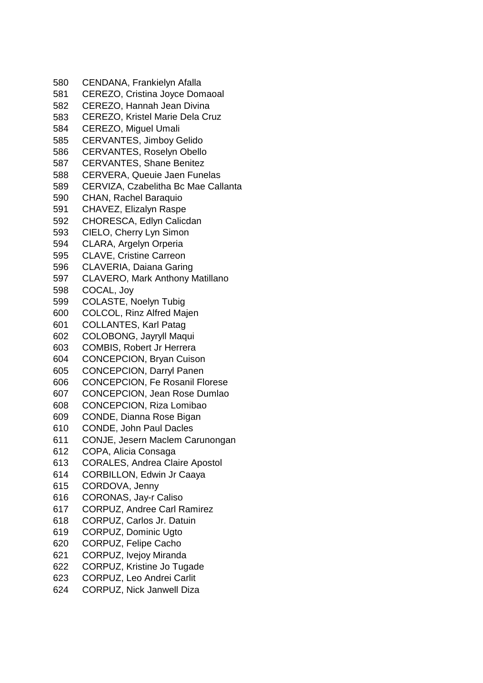CENDANA, Frankielyn Afalla CEREZO, Cristina Joyce Domaoal CEREZO, Hannah Jean Divina CEREZO, Kristel Marie Dela Cruz CEREZO, Miguel Umali CERVANTES, Jimboy Gelido CERVANTES, Roselyn Obello CERVANTES, Shane Benitez CERVERA, Queuie Jaen Funelas CERVIZA, Czabelitha Bc Mae Callanta CHAN, Rachel Baraquio CHAVEZ, Elizalyn Raspe CHORESCA, Edlyn Calicdan CIELO, Cherry Lyn Simon CLARA, Argelyn Orperia CLAVE, Cristine Carreon CLAVERIA, Daiana Garing CLAVERO, Mark Anthony Matillano COCAL, Joy COLASTE, Noelyn Tubig COLCOL, Rinz Alfred Majen COLLANTES, Karl Patag COLOBONG, Jayryll Maqui COMBIS, Robert Jr Herrera CONCEPCION, Bryan Cuison CONCEPCION, Darryl Panen CONCEPCION, Fe Rosanil Florese CONCEPCION, Jean Rose Dumlao CONCEPCION, Riza Lomibao CONDE, Dianna Rose Bigan CONDE, John Paul Dacles CONJE, Jesern Maclem Carunongan COPA, Alicia Consaga CORALES, Andrea Claire Apostol CORBILLON, Edwin Jr Caaya CORDOVA, Jenny CORONAS, Jay-r Caliso CORPUZ, Andree Carl Ramirez CORPUZ, Carlos Jr. Datuin CORPUZ, Dominic Ugto CORPUZ, Felipe Cacho CORPUZ, Ivejoy Miranda CORPUZ, Kristine Jo Tugade CORPUZ, Leo Andrei Carlit CORPUZ, Nick Janwell Diza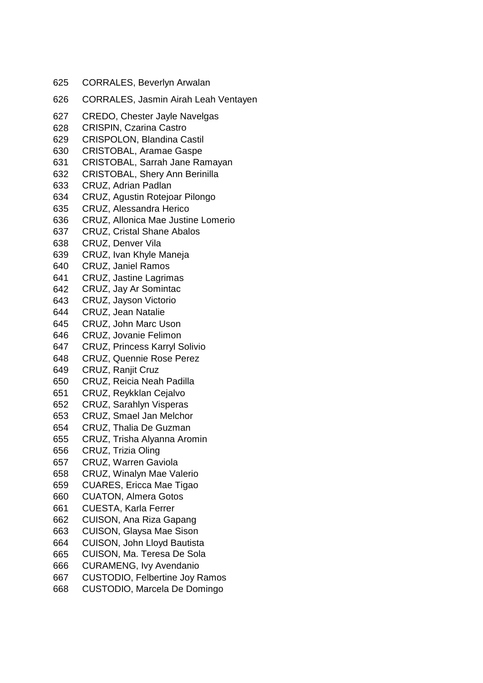| <b>CORRALES, Jasmin Airah Leah Ventayen</b><br>626<br>627<br><b>CREDO, Chester Jayle Navelgas</b><br><b>CRISPIN, Czarina Castro</b><br>628<br><b>CRISPOLON, Blandina Castil</b><br>629<br><b>CRISTOBAL, Aramae Gaspe</b><br>630<br>CRISTOBAL, Sarrah Jane Ramayan<br>631<br><b>CRISTOBAL, Shery Ann Berinilla</b><br>632<br>633<br>CRUZ, Adrian Padlan<br>CRUZ, Agustin Rotejoar Pilongo<br>634<br><b>CRUZ, Alessandra Herico</b><br>635<br>636<br><b>CRUZ, Allonica Mae Justine Lomerio</b><br>637<br><b>CRUZ, Cristal Shane Abalos</b><br><b>CRUZ, Denver Vila</b><br>638<br>CRUZ, Ivan Khyle Maneja<br>639<br><b>CRUZ, Janiel Ramos</b><br>640<br>CRUZ, Jastine Lagrimas<br>641<br>CRUZ, Jay Ar Somintac<br>642<br>CRUZ, Jayson Victorio<br>643<br><b>CRUZ, Jean Natalie</b><br>644<br><b>CRUZ, John Marc Uson</b><br>645<br><b>CRUZ, Jovanie Felimon</b><br>646<br><b>CRUZ, Princess Karryl Solivio</b><br>647<br><b>CRUZ, Quennie Rose Perez</b><br>648<br>649<br><b>CRUZ, Ranjit Cruz</b><br><b>CRUZ, Reicia Neah Padilla</b><br>650<br>CRUZ, Reykklan Cejalvo<br>651<br><b>CRUZ, Sarahlyn Visperas</b><br>652<br>CRUZ, Smael Jan Melchor<br>653<br>CRUZ, Thalia De Guzman<br>654<br>CRUZ, Trisha Alyanna Aromin<br>655<br>CRUZ, Trizia Oling<br>656<br>657<br><b>CRUZ, Warren Gaviola</b><br><b>CRUZ, Winalyn Mae Valerio</b><br>658<br>CUARES, Ericca Mae Tigao<br>659<br><b>CUATON, Almera Gotos</b><br>660<br><b>CUESTA, Karla Ferrer</b><br>661<br>CUISON, Ana Riza Gapang<br>662<br>CUISON, Glaysa Mae Sison<br>663<br>CUISON, John Lloyd Bautista<br>664<br>CUISON, Ma. Teresa De Sola<br>665<br><b>CURAMENG, Ivy Avendanio</b><br>666<br><b>CUSTODIO, Felbertine Joy Ramos</b><br>667<br>CUSTODIO, Marcela De Domingo<br>668 | 625 | <b>CORRALES, Beverlyn Arwalan</b> |
|--------------------------------------------------------------------------------------------------------------------------------------------------------------------------------------------------------------------------------------------------------------------------------------------------------------------------------------------------------------------------------------------------------------------------------------------------------------------------------------------------------------------------------------------------------------------------------------------------------------------------------------------------------------------------------------------------------------------------------------------------------------------------------------------------------------------------------------------------------------------------------------------------------------------------------------------------------------------------------------------------------------------------------------------------------------------------------------------------------------------------------------------------------------------------------------------------------------------------------------------------------------------------------------------------------------------------------------------------------------------------------------------------------------------------------------------------------------------------------------------------------------------------------------------------------------------------------------------------------------------------------------------------------------------------------------------------------------------------------------------|-----|-----------------------------------|
|                                                                                                                                                                                                                                                                                                                                                                                                                                                                                                                                                                                                                                                                                                                                                                                                                                                                                                                                                                                                                                                                                                                                                                                                                                                                                                                                                                                                                                                                                                                                                                                                                                                                                                                                            |     |                                   |
|                                                                                                                                                                                                                                                                                                                                                                                                                                                                                                                                                                                                                                                                                                                                                                                                                                                                                                                                                                                                                                                                                                                                                                                                                                                                                                                                                                                                                                                                                                                                                                                                                                                                                                                                            |     |                                   |
|                                                                                                                                                                                                                                                                                                                                                                                                                                                                                                                                                                                                                                                                                                                                                                                                                                                                                                                                                                                                                                                                                                                                                                                                                                                                                                                                                                                                                                                                                                                                                                                                                                                                                                                                            |     |                                   |
|                                                                                                                                                                                                                                                                                                                                                                                                                                                                                                                                                                                                                                                                                                                                                                                                                                                                                                                                                                                                                                                                                                                                                                                                                                                                                                                                                                                                                                                                                                                                                                                                                                                                                                                                            |     |                                   |
|                                                                                                                                                                                                                                                                                                                                                                                                                                                                                                                                                                                                                                                                                                                                                                                                                                                                                                                                                                                                                                                                                                                                                                                                                                                                                                                                                                                                                                                                                                                                                                                                                                                                                                                                            |     |                                   |
|                                                                                                                                                                                                                                                                                                                                                                                                                                                                                                                                                                                                                                                                                                                                                                                                                                                                                                                                                                                                                                                                                                                                                                                                                                                                                                                                                                                                                                                                                                                                                                                                                                                                                                                                            |     |                                   |
|                                                                                                                                                                                                                                                                                                                                                                                                                                                                                                                                                                                                                                                                                                                                                                                                                                                                                                                                                                                                                                                                                                                                                                                                                                                                                                                                                                                                                                                                                                                                                                                                                                                                                                                                            |     |                                   |
|                                                                                                                                                                                                                                                                                                                                                                                                                                                                                                                                                                                                                                                                                                                                                                                                                                                                                                                                                                                                                                                                                                                                                                                                                                                                                                                                                                                                                                                                                                                                                                                                                                                                                                                                            |     |                                   |
|                                                                                                                                                                                                                                                                                                                                                                                                                                                                                                                                                                                                                                                                                                                                                                                                                                                                                                                                                                                                                                                                                                                                                                                                                                                                                                                                                                                                                                                                                                                                                                                                                                                                                                                                            |     |                                   |
|                                                                                                                                                                                                                                                                                                                                                                                                                                                                                                                                                                                                                                                                                                                                                                                                                                                                                                                                                                                                                                                                                                                                                                                                                                                                                                                                                                                                                                                                                                                                                                                                                                                                                                                                            |     |                                   |
|                                                                                                                                                                                                                                                                                                                                                                                                                                                                                                                                                                                                                                                                                                                                                                                                                                                                                                                                                                                                                                                                                                                                                                                                                                                                                                                                                                                                                                                                                                                                                                                                                                                                                                                                            |     |                                   |
|                                                                                                                                                                                                                                                                                                                                                                                                                                                                                                                                                                                                                                                                                                                                                                                                                                                                                                                                                                                                                                                                                                                                                                                                                                                                                                                                                                                                                                                                                                                                                                                                                                                                                                                                            |     |                                   |
|                                                                                                                                                                                                                                                                                                                                                                                                                                                                                                                                                                                                                                                                                                                                                                                                                                                                                                                                                                                                                                                                                                                                                                                                                                                                                                                                                                                                                                                                                                                                                                                                                                                                                                                                            |     |                                   |
|                                                                                                                                                                                                                                                                                                                                                                                                                                                                                                                                                                                                                                                                                                                                                                                                                                                                                                                                                                                                                                                                                                                                                                                                                                                                                                                                                                                                                                                                                                                                                                                                                                                                                                                                            |     |                                   |
|                                                                                                                                                                                                                                                                                                                                                                                                                                                                                                                                                                                                                                                                                                                                                                                                                                                                                                                                                                                                                                                                                                                                                                                                                                                                                                                                                                                                                                                                                                                                                                                                                                                                                                                                            |     |                                   |
|                                                                                                                                                                                                                                                                                                                                                                                                                                                                                                                                                                                                                                                                                                                                                                                                                                                                                                                                                                                                                                                                                                                                                                                                                                                                                                                                                                                                                                                                                                                                                                                                                                                                                                                                            |     |                                   |
|                                                                                                                                                                                                                                                                                                                                                                                                                                                                                                                                                                                                                                                                                                                                                                                                                                                                                                                                                                                                                                                                                                                                                                                                                                                                                                                                                                                                                                                                                                                                                                                                                                                                                                                                            |     |                                   |
|                                                                                                                                                                                                                                                                                                                                                                                                                                                                                                                                                                                                                                                                                                                                                                                                                                                                                                                                                                                                                                                                                                                                                                                                                                                                                                                                                                                                                                                                                                                                                                                                                                                                                                                                            |     |                                   |
|                                                                                                                                                                                                                                                                                                                                                                                                                                                                                                                                                                                                                                                                                                                                                                                                                                                                                                                                                                                                                                                                                                                                                                                                                                                                                                                                                                                                                                                                                                                                                                                                                                                                                                                                            |     |                                   |
|                                                                                                                                                                                                                                                                                                                                                                                                                                                                                                                                                                                                                                                                                                                                                                                                                                                                                                                                                                                                                                                                                                                                                                                                                                                                                                                                                                                                                                                                                                                                                                                                                                                                                                                                            |     |                                   |
|                                                                                                                                                                                                                                                                                                                                                                                                                                                                                                                                                                                                                                                                                                                                                                                                                                                                                                                                                                                                                                                                                                                                                                                                                                                                                                                                                                                                                                                                                                                                                                                                                                                                                                                                            |     |                                   |
|                                                                                                                                                                                                                                                                                                                                                                                                                                                                                                                                                                                                                                                                                                                                                                                                                                                                                                                                                                                                                                                                                                                                                                                                                                                                                                                                                                                                                                                                                                                                                                                                                                                                                                                                            |     |                                   |
|                                                                                                                                                                                                                                                                                                                                                                                                                                                                                                                                                                                                                                                                                                                                                                                                                                                                                                                                                                                                                                                                                                                                                                                                                                                                                                                                                                                                                                                                                                                                                                                                                                                                                                                                            |     |                                   |
|                                                                                                                                                                                                                                                                                                                                                                                                                                                                                                                                                                                                                                                                                                                                                                                                                                                                                                                                                                                                                                                                                                                                                                                                                                                                                                                                                                                                                                                                                                                                                                                                                                                                                                                                            |     |                                   |
|                                                                                                                                                                                                                                                                                                                                                                                                                                                                                                                                                                                                                                                                                                                                                                                                                                                                                                                                                                                                                                                                                                                                                                                                                                                                                                                                                                                                                                                                                                                                                                                                                                                                                                                                            |     |                                   |
|                                                                                                                                                                                                                                                                                                                                                                                                                                                                                                                                                                                                                                                                                                                                                                                                                                                                                                                                                                                                                                                                                                                                                                                                                                                                                                                                                                                                                                                                                                                                                                                                                                                                                                                                            |     |                                   |
|                                                                                                                                                                                                                                                                                                                                                                                                                                                                                                                                                                                                                                                                                                                                                                                                                                                                                                                                                                                                                                                                                                                                                                                                                                                                                                                                                                                                                                                                                                                                                                                                                                                                                                                                            |     |                                   |
|                                                                                                                                                                                                                                                                                                                                                                                                                                                                                                                                                                                                                                                                                                                                                                                                                                                                                                                                                                                                                                                                                                                                                                                                                                                                                                                                                                                                                                                                                                                                                                                                                                                                                                                                            |     |                                   |
|                                                                                                                                                                                                                                                                                                                                                                                                                                                                                                                                                                                                                                                                                                                                                                                                                                                                                                                                                                                                                                                                                                                                                                                                                                                                                                                                                                                                                                                                                                                                                                                                                                                                                                                                            |     |                                   |
|                                                                                                                                                                                                                                                                                                                                                                                                                                                                                                                                                                                                                                                                                                                                                                                                                                                                                                                                                                                                                                                                                                                                                                                                                                                                                                                                                                                                                                                                                                                                                                                                                                                                                                                                            |     |                                   |
|                                                                                                                                                                                                                                                                                                                                                                                                                                                                                                                                                                                                                                                                                                                                                                                                                                                                                                                                                                                                                                                                                                                                                                                                                                                                                                                                                                                                                                                                                                                                                                                                                                                                                                                                            |     |                                   |
|                                                                                                                                                                                                                                                                                                                                                                                                                                                                                                                                                                                                                                                                                                                                                                                                                                                                                                                                                                                                                                                                                                                                                                                                                                                                                                                                                                                                                                                                                                                                                                                                                                                                                                                                            |     |                                   |
|                                                                                                                                                                                                                                                                                                                                                                                                                                                                                                                                                                                                                                                                                                                                                                                                                                                                                                                                                                                                                                                                                                                                                                                                                                                                                                                                                                                                                                                                                                                                                                                                                                                                                                                                            |     |                                   |
|                                                                                                                                                                                                                                                                                                                                                                                                                                                                                                                                                                                                                                                                                                                                                                                                                                                                                                                                                                                                                                                                                                                                                                                                                                                                                                                                                                                                                                                                                                                                                                                                                                                                                                                                            |     |                                   |
|                                                                                                                                                                                                                                                                                                                                                                                                                                                                                                                                                                                                                                                                                                                                                                                                                                                                                                                                                                                                                                                                                                                                                                                                                                                                                                                                                                                                                                                                                                                                                                                                                                                                                                                                            |     |                                   |
|                                                                                                                                                                                                                                                                                                                                                                                                                                                                                                                                                                                                                                                                                                                                                                                                                                                                                                                                                                                                                                                                                                                                                                                                                                                                                                                                                                                                                                                                                                                                                                                                                                                                                                                                            |     |                                   |
|                                                                                                                                                                                                                                                                                                                                                                                                                                                                                                                                                                                                                                                                                                                                                                                                                                                                                                                                                                                                                                                                                                                                                                                                                                                                                                                                                                                                                                                                                                                                                                                                                                                                                                                                            |     |                                   |
|                                                                                                                                                                                                                                                                                                                                                                                                                                                                                                                                                                                                                                                                                                                                                                                                                                                                                                                                                                                                                                                                                                                                                                                                                                                                                                                                                                                                                                                                                                                                                                                                                                                                                                                                            |     |                                   |
|                                                                                                                                                                                                                                                                                                                                                                                                                                                                                                                                                                                                                                                                                                                                                                                                                                                                                                                                                                                                                                                                                                                                                                                                                                                                                                                                                                                                                                                                                                                                                                                                                                                                                                                                            |     |                                   |
|                                                                                                                                                                                                                                                                                                                                                                                                                                                                                                                                                                                                                                                                                                                                                                                                                                                                                                                                                                                                                                                                                                                                                                                                                                                                                                                                                                                                                                                                                                                                                                                                                                                                                                                                            |     |                                   |
|                                                                                                                                                                                                                                                                                                                                                                                                                                                                                                                                                                                                                                                                                                                                                                                                                                                                                                                                                                                                                                                                                                                                                                                                                                                                                                                                                                                                                                                                                                                                                                                                                                                                                                                                            |     |                                   |
|                                                                                                                                                                                                                                                                                                                                                                                                                                                                                                                                                                                                                                                                                                                                                                                                                                                                                                                                                                                                                                                                                                                                                                                                                                                                                                                                                                                                                                                                                                                                                                                                                                                                                                                                            |     |                                   |
|                                                                                                                                                                                                                                                                                                                                                                                                                                                                                                                                                                                                                                                                                                                                                                                                                                                                                                                                                                                                                                                                                                                                                                                                                                                                                                                                                                                                                                                                                                                                                                                                                                                                                                                                            |     |                                   |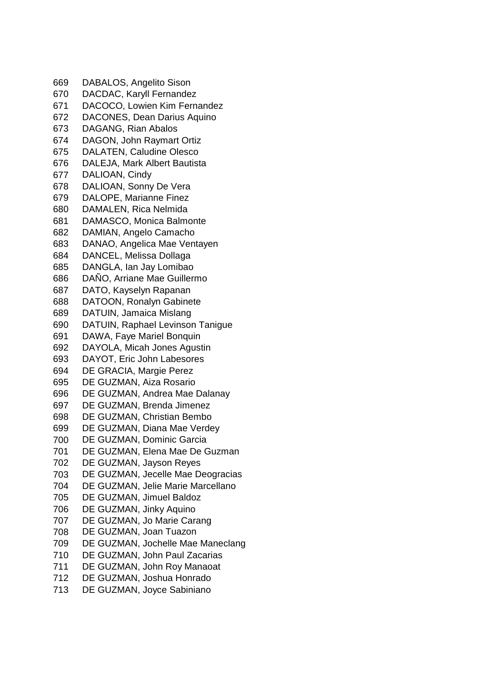DABALOS, Angelito Sison DACDAC, Karyll Fernandez DACOCO, Lowien Kim Fernandez DACONES, Dean Darius Aquino DAGANG, Rian Abalos DAGON, John Raymart Ortiz DALATEN, Caludine Olesco DALEJA, Mark Albert Bautista DALIOAN, Cindy DALIOAN, Sonny De Vera DALOPE, Marianne Finez DAMALEN, Rica Nelmida DAMASCO, Monica Balmonte DAMIAN, Angelo Camacho DANAO, Angelica Mae Ventayen DANCEL, Melissa Dollaga DANGLA, Ian Jay Lomibao DAÑO, Arriane Mae Guillermo DATO, Kayselyn Rapanan DATOON, Ronalyn Gabinete DATUIN, Jamaica Mislang DATUIN, Raphael Levinson Tanigue DAWA, Faye Mariel Bonquin DAYOLA, Micah Jones Agustin DAYOT, Eric John Labesores DE GRACIA, Margie Perez DE GUZMAN, Aiza Rosario DE GUZMAN, Andrea Mae Dalanay DE GUZMAN, Brenda Jimenez DE GUZMAN, Christian Bembo DE GUZMAN, Diana Mae Verdey DE GUZMAN, Dominic Garcia DE GUZMAN, Elena Mae De Guzman DE GUZMAN, Jayson Reyes DE GUZMAN, Jecelle Mae Deogracias DE GUZMAN, Jelie Marie Marcellano DE GUZMAN, Jimuel Baldoz DE GUZMAN, Jinky Aquino DE GUZMAN, Jo Marie Carang DE GUZMAN, Joan Tuazon DE GUZMAN, Jochelle Mae Maneclang DE GUZMAN, John Paul Zacarias DE GUZMAN, John Roy Manaoat DE GUZMAN, Joshua Honrado DE GUZMAN, Joyce Sabiniano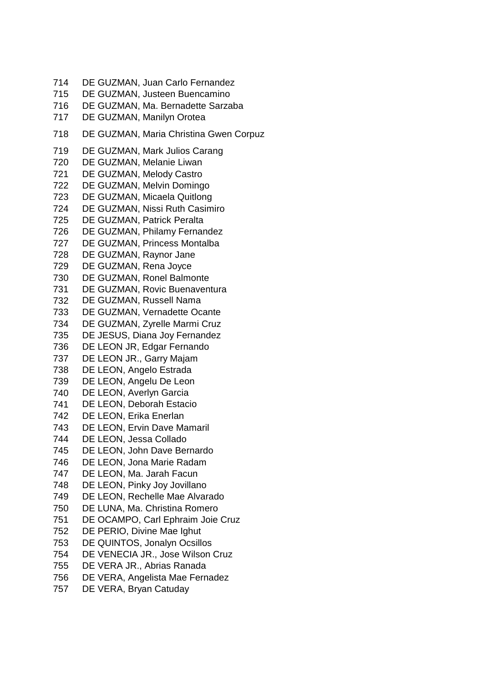DE GUZMAN, Juan Carlo Fernandez DE GUZMAN, Justeen Buencamino DE GUZMAN, Ma. Bernadette Sarzaba DE GUZMAN, Manilyn Orotea DE GUZMAN, Maria Christina Gwen Corpuz DE GUZMAN, Mark Julios Carang DE GUZMAN, Melanie Liwan DE GUZMAN, Melody Castro DE GUZMAN, Melvin Domingo DE GUZMAN, Micaela Quitlong DE GUZMAN, Nissi Ruth Casimiro DE GUZMAN, Patrick Peralta DE GUZMAN, Philamy Fernandez DE GUZMAN, Princess Montalba DE GUZMAN, Raynor Jane DE GUZMAN, Rena Joyce DE GUZMAN, Ronel Balmonte DE GUZMAN, Rovic Buenaventura DE GUZMAN, Russell Nama DE GUZMAN, Vernadette Ocante DE GUZMAN, Zyrelle Marmi Cruz DE JESUS, Diana Joy Fernandez DE LEON JR, Edgar Fernando DE LEON JR., Garry Majam DE LEON, Angelo Estrada DE LEON, Angelu De Leon DE LEON, Averlyn Garcia DE LEON, Deborah Estacio DE LEON, Erika Enerlan DE LEON, Ervin Dave Mamaril DE LEON, Jessa Collado DE LEON, John Dave Bernardo DE LEON, Jona Marie Radam DE LEON, Ma. Jarah Facun DE LEON, Pinky Joy Jovillano DE LEON, Rechelle Mae Alvarado DE LUNA, Ma. Christina Romero DE OCAMPO, Carl Ephraim Joie Cruz DE PERIO, Divine Mae Ighut DE QUINTOS, Jonalyn Ocsillos DE VENECIA JR., Jose Wilson Cruz DE VERA JR., Abrias Ranada DE VERA, Angelista Mae Fernadez DE VERA, Bryan Catuday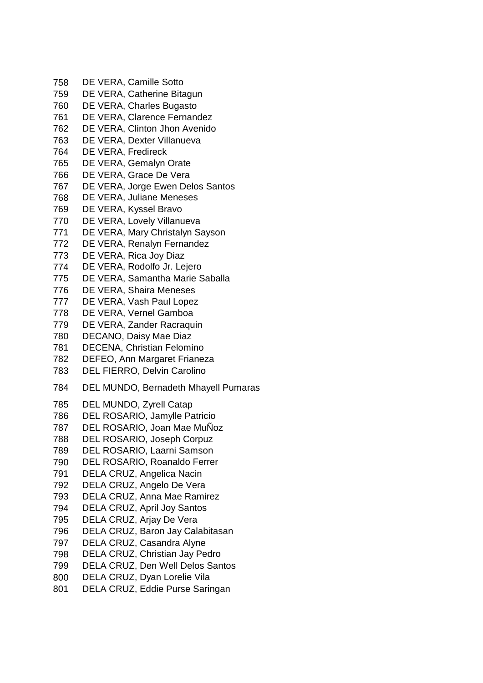- DE VERA, Camille Sotto DE VERA, Catherine Bitagun DE VERA, Charles Bugasto DE VERA, Clarence Fernandez DE VERA, Clinton Jhon Avenido DE VERA, Dexter Villanueva DE VERA, Fredireck DE VERA, Gemalyn Orate DE VERA, Grace De Vera DE VERA, Jorge Ewen Delos Santos DE VERA, Juliane Meneses DE VERA, Kyssel Bravo DE VERA, Lovely Villanueva DE VERA, Mary Christalyn Sayson DE VERA, Renalyn Fernandez DE VERA, Rica Joy Diaz DE VERA, Rodolfo Jr. Lejero DE VERA, Samantha Marie Saballa DE VERA, Shaira Meneses DE VERA, Vash Paul Lopez DE VERA, Vernel Gamboa DE VERA, Zander Racraquin DECANO, Daisy Mae Diaz DECENA, Christian Felomino DEFEO, Ann Margaret Frianeza DEL FIERRO, Delvin Carolino DEL MUNDO, Bernadeth Mhayell Pumaras DEL MUNDO, Zyrell Catap DEL ROSARIO, Jamylle Patricio DEL ROSARIO, Joan Mae MuÑoz DEL ROSARIO, Joseph Corpuz DEL ROSARIO, Laarni Samson DEL ROSARIO, Roanaldo Ferrer DELA CRUZ, Angelica Nacin DELA CRUZ, Angelo De Vera DELA CRUZ, Anna Mae Ramirez DELA CRUZ, April Joy Santos DELA CRUZ, Arjay De Vera DELA CRUZ, Baron Jay Calabitasan DELA CRUZ, Casandra Alyne DELA CRUZ, Christian Jay Pedro DELA CRUZ, Den Well Delos Santos DELA CRUZ, Dyan Lorelie Vila
- DELA CRUZ, Eddie Purse Saringan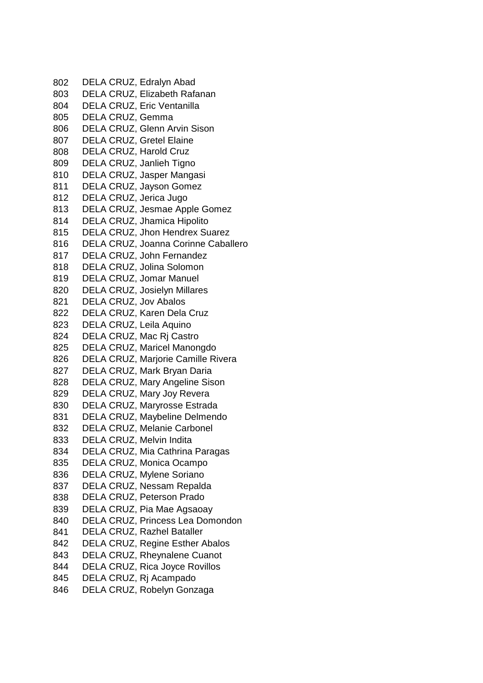DELA CRUZ, Edralyn Abad DELA CRUZ, Elizabeth Rafanan DELA CRUZ, Eric Ventanilla DELA CRUZ, Gemma DELA CRUZ, Glenn Arvin Sison DELA CRUZ, Gretel Elaine DELA CRUZ, Harold Cruz DELA CRUZ, Janlieh Tigno DELA CRUZ, Jasper Mangasi DELA CRUZ, Jayson Gomez DELA CRUZ, Jerica Jugo DELA CRUZ, Jesmae Apple Gomez DELA CRUZ, Jhamica Hipolito DELA CRUZ, Jhon Hendrex Suarez DELA CRUZ, Joanna Corinne Caballero DELA CRUZ, John Fernandez DELA CRUZ, Jolina Solomon DELA CRUZ, Jomar Manuel DELA CRUZ, Josielyn Millares DELA CRUZ, Jov Abalos DELA CRUZ, Karen Dela Cruz DELA CRUZ, Leila Aquino DELA CRUZ, Mac Rj Castro DELA CRUZ, Maricel Manongdo DELA CRUZ, Marjorie Camille Rivera DELA CRUZ, Mark Bryan Daria DELA CRUZ, Mary Angeline Sison DELA CRUZ, Mary Joy Revera DELA CRUZ, Maryrosse Estrada DELA CRUZ, Maybeline Delmendo DELA CRUZ, Melanie Carbonel DELA CRUZ, Melvin Indita DELA CRUZ, Mia Cathrina Paragas DELA CRUZ, Monica Ocampo DELA CRUZ, Mylene Soriano DELA CRUZ, Nessam Repalda DELA CRUZ, Peterson Prado DELA CRUZ, Pia Mae Agsaoay DELA CRUZ, Princess Lea Domondon DELA CRUZ, Razhel Bataller DELA CRUZ, Regine Esther Abalos DELA CRUZ, Rheynalene Cuanot DELA CRUZ, Rica Joyce Rovillos DELA CRUZ, Rj Acampado DELA CRUZ, Robelyn Gonzaga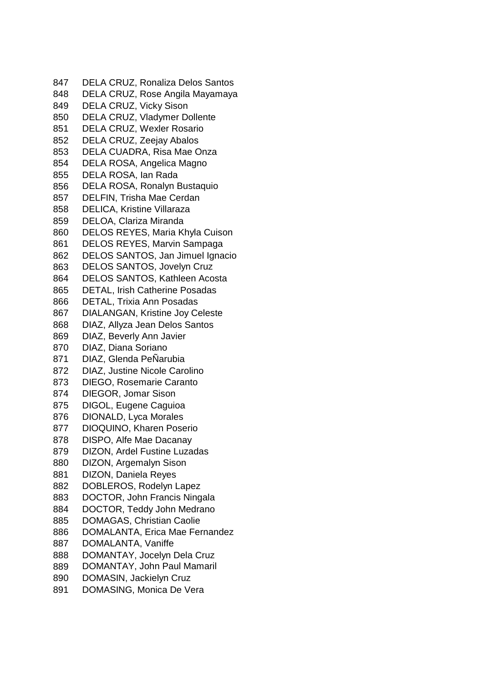DELA CRUZ, Ronaliza Delos Santos DELA CRUZ, Rose Angila Mayamaya DELA CRUZ, Vicky Sison DELA CRUZ, Vladymer Dollente DELA CRUZ, Wexler Rosario DELA CRUZ, Zeejay Abalos DELA CUADRA, Risa Mae Onza DELA ROSA, Angelica Magno DELA ROSA, Ian Rada DELA ROSA, Ronalyn Bustaquio DELFIN, Trisha Mae Cerdan DELICA, Kristine Villaraza DELOA, Clariza Miranda DELOS REYES, Maria Khyla Cuison DELOS REYES, Marvin Sampaga DELOS SANTOS, Jan Jimuel Ignacio DELOS SANTOS, Jovelyn Cruz DELOS SANTOS, Kathleen Acosta DETAL, Irish Catherine Posadas DETAL, Trixia Ann Posadas DIALANGAN, Kristine Joy Celeste DIAZ, Allyza Jean Delos Santos DIAZ, Beverly Ann Javier DIAZ, Diana Soriano DIAZ, Glenda PeÑarubia DIAZ, Justine Nicole Carolino DIEGO, Rosemarie Caranto DIEGOR, Jomar Sison DIGOL, Eugene Caguioa DIONALD, Lyca Morales DIOQUINO, Kharen Poserio DISPO, Alfe Mae Dacanay DIZON, Ardel Fustine Luzadas DIZON, Argemalyn Sison DIZON, Daniela Reyes DOBLEROS, Rodelyn Lapez DOCTOR, John Francis Ningala DOCTOR, Teddy John Medrano DOMAGAS, Christian Caolie DOMALANTA, Erica Mae Fernandez DOMALANTA, Vaniffe DOMANTAY, Jocelyn Dela Cruz DOMANTAY, John Paul Mamaril DOMASIN, Jackielyn Cruz DOMASING, Monica De Vera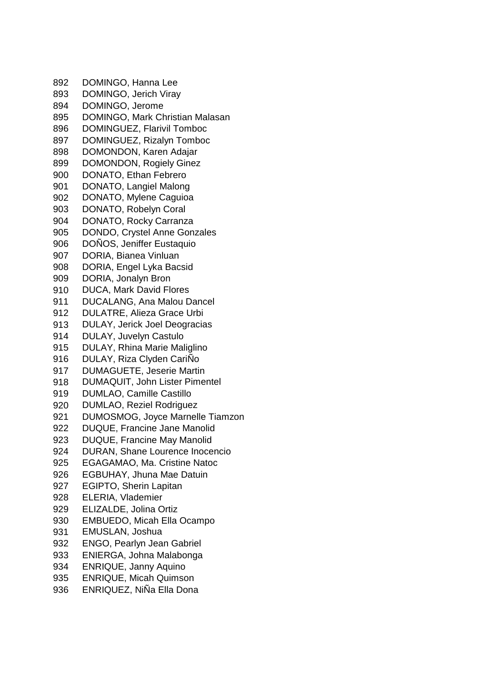DOMINGO, Hanna Lee DOMINGO, Jerich Viray DOMINGO, Jerome DOMINGO, Mark Christian Malasan DOMINGUEZ, Flarivil Tomboc DOMINGUEZ, Rizalyn Tomboc DOMONDON, Karen Adajar DOMONDON, Rogiely Ginez DONATO, Ethan Febrero DONATO, Langiel Malong DONATO, Mylene Caguioa DONATO, Robelyn Coral DONATO, Rocky Carranza DONDO, Crystel Anne Gonzales DOÑOS, Jeniffer Eustaquio DORIA, Bianea Vinluan DORIA, Engel Lyka Bacsid DORIA, Jonalyn Bron DUCA, Mark David Flores DUCALANG, Ana Malou Dancel DULATRE, Alieza Grace Urbi DULAY, Jerick Joel Deogracias DULAY, Juvelyn Castulo DULAY, Rhina Marie Maliglino DULAY, Riza Clyden CariÑo DUMAGUETE, Jeserie Martin DUMAQUIT, John Lister Pimentel DUMLAO, Camille Castillo DUMLAO, Reziel Rodriguez DUMOSMOG, Joyce Marnelle Tiamzon DUQUE, Francine Jane Manolid DUQUE, Francine May Manolid DURAN, Shane Lourence Inocencio EGAGAMAO, Ma. Cristine Natoc EGBUHAY, Jhuna Mae Datuin EGIPTO, Sherin Lapitan ELERIA, Vlademier ELIZALDE, Jolina Ortiz EMBUEDO, Micah Ella Ocampo EMUSLAN, Joshua ENGO, Pearlyn Jean Gabriel ENIERGA, Johna Malabonga ENRIQUE, Janny Aquino ENRIQUE, Micah Quimson ENRIQUEZ, NiÑa Ella Dona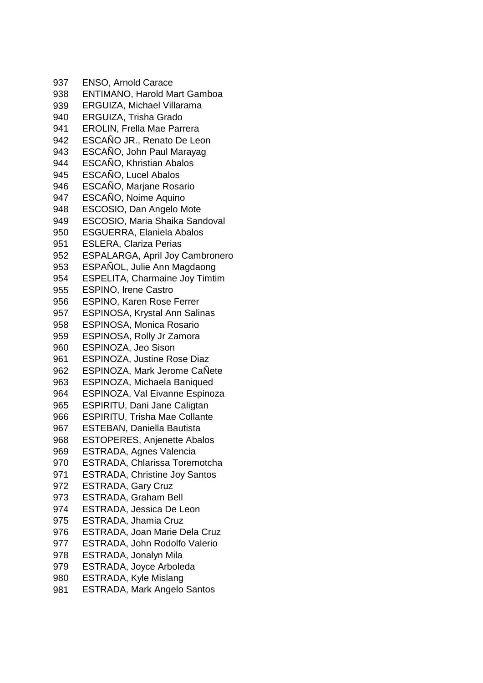ENSO, Arnold Carace ENTIMANO, Harold Mart Gamboa ERGUIZA, Michael Villarama ERGUIZA, Trisha Grado EROLIN, Frella Mae Parrera ESCAÑO JR., Renato De Leon ESCAÑO, John Paul Marayag ESCAÑO, Khristian Abalos ESCAÑO, Lucel Abalos ESCAÑO, Marjane Rosario ESCAÑO, Noime Aquino ESCOSIO, Dan Angelo Mote ESCOSIO, Maria Shaika Sandoval ESGUERRA, Elaniela Abalos ESLERA, Clariza Perias ESPALARGA, April Joy Cambronero ESPAÑOL, Julie Ann Magdaong ESPELITA, Charmaine Joy Timtim ESPINO, Irene Castro ESPINO, Karen Rose Ferrer ESPINOSA, Krystal Ann Salinas ESPINOSA, Monica Rosario ESPINOSA, Rolly Jr Zamora ESPINOZA, Jeo Sison ESPINOZA, Justine Rose Diaz ESPINOZA, Mark Jerome CaÑete ESPINOZA, Michaela Baniqued ESPINOZA, Val Eivanne Espinoza ESPIRITU, Dani Jane Caligtan ESPIRITU, Trisha Mae Collante ESTEBAN, Daniella Bautista ESTOPERES, Anjenette Abalos ESTRADA, Agnes Valencia ESTRADA, Chlarissa Toremotcha ESTRADA, Christine Joy Santos ESTRADA, Gary Cruz ESTRADA, Graham Bell ESTRADA, Jessica De Leon ESTRADA, Jhamia Cruz ESTRADA, Joan Marie Dela Cruz ESTRADA, John Rodolfo Valerio ESTRADA, Jonalyn Mila ESTRADA, Joyce Arboleda ESTRADA, Kyle Mislang ESTRADA, Mark Angelo Santos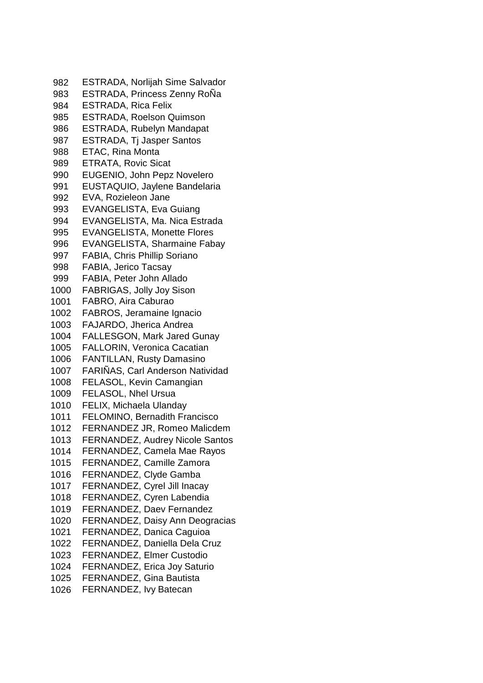ESTRADA, Norlijah Sime Salvador ESTRADA, Princess Zenny RoÑa ESTRADA, Rica Felix ESTRADA, Roelson Quimson ESTRADA, Rubelyn Mandapat 987 ESTRADA, Ti Jasper Santos ETAC, Rina Monta ETRATA, Rovic Sicat EUGENIO, John Pepz Novelero EUSTAQUIO, Jaylene Bandelaria EVA, Rozieleon Jane EVANGELISTA, Eva Guiang EVANGELISTA, Ma. Nica Estrada EVANGELISTA, Monette Flores EVANGELISTA, Sharmaine Fabay FABIA, Chris Phillip Soriano FABIA, Jerico Tacsay FABIA, Peter John Allado FABRIGAS, Jolly Joy Sison FABRO, Aira Caburao FABROS, Jeramaine Ignacio FAJARDO, Jherica Andrea FALLESGON, Mark Jared Gunay FALLORIN, Veronica Cacatian FANTILLAN, Rusty Damasino 1007 FARINAS, Carl Anderson Natividad FELASOL, Kevin Camangian FELASOL, Nhel Ursua FELIX, Michaela Ulanday FELOMINO, Bernadith Francisco FERNANDEZ JR, Romeo Malicdem FERNANDEZ, Audrey Nicole Santos FERNANDEZ, Camela Mae Rayos FERNANDEZ, Camille Zamora FERNANDEZ, Clyde Gamba FERNANDEZ, Cyrel Jill Inacay FERNANDEZ, Cyren Labendia FERNANDEZ, Daev Fernandez FERNANDEZ, Daisy Ann Deogracias FERNANDEZ, Danica Caguioa FERNANDEZ, Daniella Dela Cruz FERNANDEZ, Elmer Custodio FERNANDEZ, Erica Joy Saturio FERNANDEZ, Gina Bautista FERNANDEZ, Ivy Batecan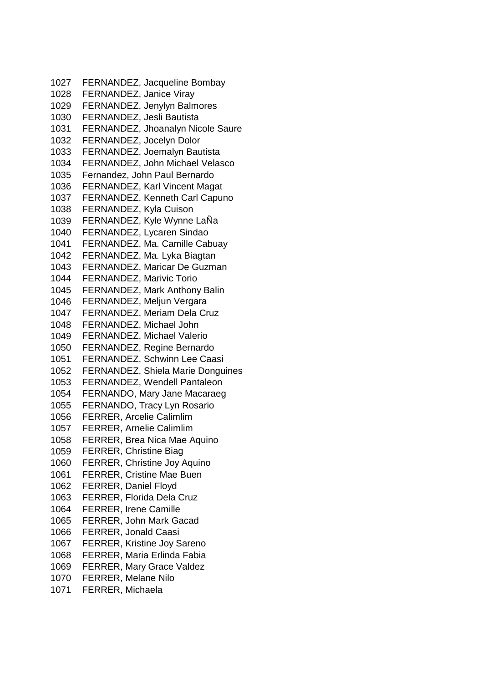FERNANDEZ, Jacqueline Bombay FERNANDEZ, Janice Viray FERNANDEZ, Jenylyn Balmores FERNANDEZ, Jesli Bautista FERNANDEZ, Jhoanalyn Nicole Saure FERNANDEZ, Jocelyn Dolor FERNANDEZ, Joemalyn Bautista FERNANDEZ, John Michael Velasco Fernandez, John Paul Bernardo FERNANDEZ, Karl Vincent Magat FERNANDEZ, Kenneth Carl Capuno FERNANDEZ, Kyla Cuison FERNANDEZ, Kyle Wynne LaÑa FERNANDEZ, Lycaren Sindao FERNANDEZ, Ma. Camille Cabuay FERNANDEZ, Ma. Lyka Biagtan FERNANDEZ, Maricar De Guzman FERNANDEZ, Marivic Torio FERNANDEZ, Mark Anthony Balin FERNANDEZ, Meljun Vergara FERNANDEZ, Meriam Dela Cruz FERNANDEZ, Michael John FERNANDEZ, Michael Valerio FERNANDEZ, Regine Bernardo FERNANDEZ, Schwinn Lee Caasi FERNANDEZ, Shiela Marie Donguines FERNANDEZ, Wendell Pantaleon FERNANDO, Mary Jane Macaraeg FERNANDO, Tracy Lyn Rosario FERRER, Arcelie Calimlim FERRER, Arnelie Calimlim FERRER, Brea Nica Mae Aquino FERRER, Christine Biag FERRER, Christine Joy Aquino FERRER, Cristine Mae Buen FERRER, Daniel Floyd FERRER, Florida Dela Cruz FERRER, Irene Camille FERRER, John Mark Gacad FERRER, Jonald Caasi FERRER, Kristine Joy Sareno FERRER, Maria Erlinda Fabia FERRER, Mary Grace Valdez FERRER, Melane Nilo FERRER, Michaela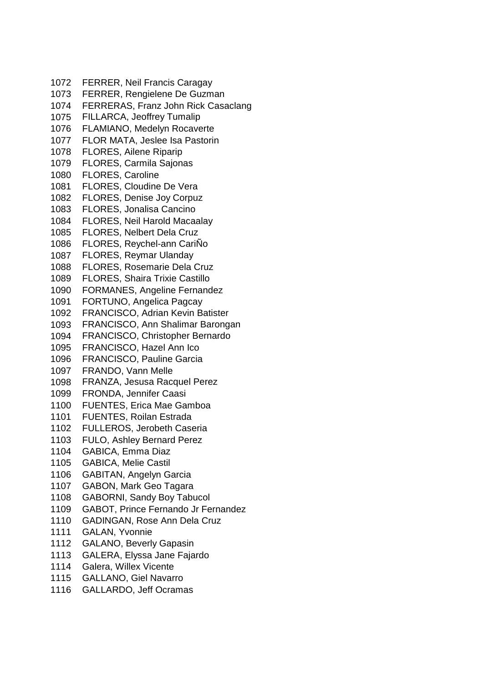FERRER, Neil Francis Caragay FERRER, Rengielene De Guzman FERRERAS, Franz John Rick Casaclang FILLARCA, Jeoffrey Tumalip FLAMIANO, Medelyn Rocaverte FLOR MATA, Jeslee Isa Pastorin FLORES, Ailene Riparip FLORES, Carmila Sajonas FLORES, Caroline FLORES, Cloudine De Vera FLORES, Denise Joy Corpuz FLORES, Jonalisa Cancino FLORES, Neil Harold Macaalay FLORES, Nelbert Dela Cruz FLORES, Reychel-ann CariÑo FLORES, Reymar Ulanday FLORES, Rosemarie Dela Cruz FLORES, Shaira Trixie Castillo FORMANES, Angeline Fernandez FORTUNO, Angelica Pagcay FRANCISCO, Adrian Kevin Batister FRANCISCO, Ann Shalimar Barongan FRANCISCO, Christopher Bernardo FRANCISCO, Hazel Ann Ico FRANCISCO, Pauline Garcia FRANDO, Vann Melle FRANZA, Jesusa Racquel Perez FRONDA, Jennifer Caasi FUENTES, Erica Mae Gamboa FUENTES, Roilan Estrada FULLEROS, Jerobeth Caseria FULO, Ashley Bernard Perez GABICA, Emma Diaz GABICA, Melie Castil GABITAN, Angelyn Garcia GABON, Mark Geo Tagara GABORNI, Sandy Boy Tabucol GABOT, Prince Fernando Jr Fernandez GADINGAN, Rose Ann Dela Cruz GALAN, Yvonnie GALANO, Beverly Gapasin GALERA, Elyssa Jane Fajardo Galera, Willex Vicente GALLANO, Giel Navarro GALLARDO, Jeff Ocramas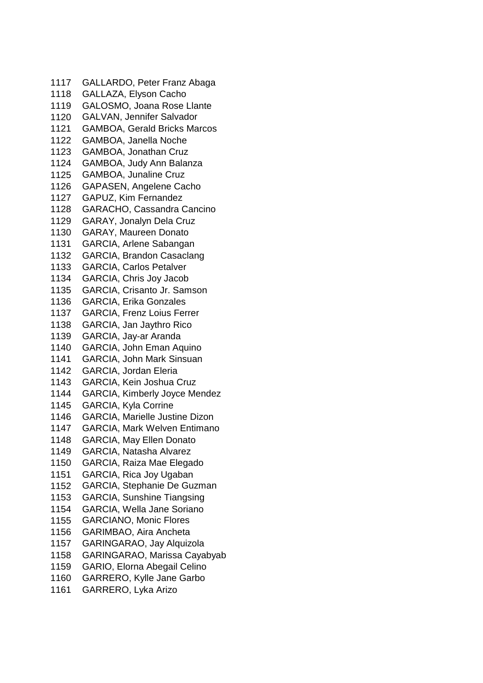GALLARDO, Peter Franz Abaga GALLAZA, Elyson Cacho GALOSMO, Joana Rose Llante GALVAN, Jennifer Salvador GAMBOA, Gerald Bricks Marcos GAMBOA, Janella Noche GAMBOA, Jonathan Cruz GAMBOA, Judy Ann Balanza GAMBOA, Junaline Cruz GAPASEN, Angelene Cacho GAPUZ, Kim Fernandez GARACHO, Cassandra Cancino GARAY, Jonalyn Dela Cruz GARAY, Maureen Donato GARCIA, Arlene Sabangan GARCIA, Brandon Casaclang GARCIA, Carlos Petalver GARCIA, Chris Joy Jacob GARCIA, Crisanto Jr. Samson GARCIA, Erika Gonzales GARCIA, Frenz Loius Ferrer GARCIA, Jan Jaythro Rico GARCIA, Jay-ar Aranda GARCIA, John Eman Aquino GARCIA, John Mark Sinsuan GARCIA, Jordan Eleria GARCIA, Kein Joshua Cruz GARCIA, Kimberly Joyce Mendez GARCIA, Kyla Corrine GARCIA, Marielle Justine Dizon GARCIA, Mark Welven Entimano GARCIA, May Ellen Donato GARCIA, Natasha Alvarez GARCIA, Raiza Mae Elegado GARCIA, Rica Joy Ugaban GARCIA, Stephanie De Guzman GARCIA, Sunshine Tiangsing GARCIA, Wella Jane Soriano GARCIANO, Monic Flores GARIMBAO, Aira Ancheta GARINGARAO, Jay Alquizola GARINGARAO, Marissa Cayabyab GARIO, Elorna Abegail Celino GARRERO, Kylle Jane Garbo GARRERO, Lyka Arizo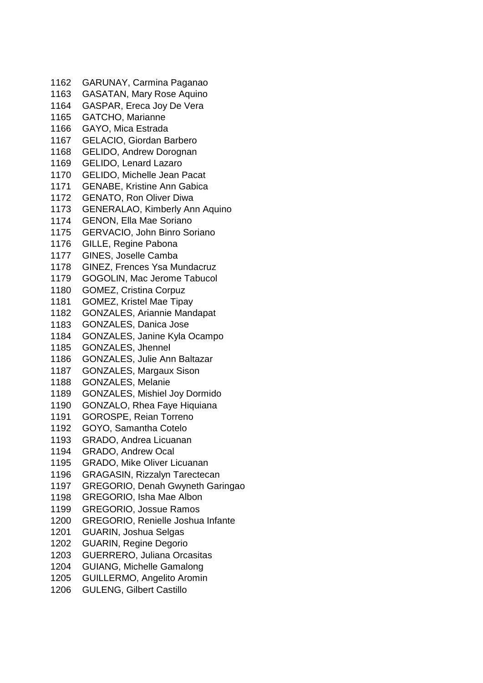GARUNAY, Carmina Paganao GASATAN, Mary Rose Aquino GASPAR, Ereca Joy De Vera GATCHO, Marianne GAYO, Mica Estrada GELACIO, Giordan Barbero GELIDO, Andrew Dorognan GELIDO, Lenard Lazaro GELIDO, Michelle Jean Pacat GENABE, Kristine Ann Gabica GENATO, Ron Oliver Diwa GENERALAO, Kimberly Ann Aquino GENON, Ella Mae Soriano GERVACIO, John Binro Soriano GILLE, Regine Pabona GINES, Joselle Camba GINEZ, Frences Ysa Mundacruz GOGOLIN, Mac Jerome Tabucol GOMEZ, Cristina Corpuz GOMEZ, Kristel Mae Tipay GONZALES, Ariannie Mandapat GONZALES, Danica Jose GONZALES, Janine Kyla Ocampo GONZALES, Jhennel GONZALES, Julie Ann Baltazar GONZALES, Margaux Sison GONZALES, Melanie GONZALES, Mishiel Joy Dormido GONZALO, Rhea Faye Hiquiana GOROSPE, Reian Torreno GOYO, Samantha Cotelo GRADO, Andrea Licuanan GRADO, Andrew Ocal GRADO, Mike Oliver Licuanan GRAGASIN, Rizzalyn Tarectecan GREGORIO, Denah Gwyneth Garingao GREGORIO, Isha Mae Albon GREGORIO, Jossue Ramos GREGORIO, Renielle Joshua Infante GUARIN, Joshua Selgas GUARIN, Regine Degorio GUERRERO, Juliana Orcasitas GUIANG, Michelle Gamalong GUILLERMO, Angelito Aromin GULENG, Gilbert Castillo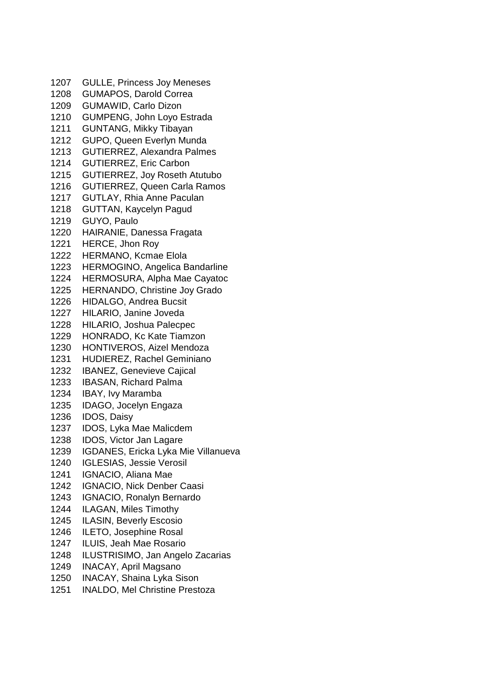GULLE, Princess Joy Meneses GUMAPOS, Darold Correa GUMAWID, Carlo Dizon GUMPENG, John Loyo Estrada GUNTANG, Mikky Tibayan GUPO, Queen Everlyn Munda GUTIERREZ, Alexandra Palmes GUTIERREZ, Eric Carbon GUTIERREZ, Joy Roseth Atutubo GUTIERREZ, Queen Carla Ramos GUTLAY, Rhia Anne Paculan GUTTAN, Kaycelyn Pagud GUYO, Paulo HAIRANIE, Danessa Fragata HERCE, Jhon Roy HERMANO, Kcmae Elola HERMOGINO, Angelica Bandarline HERMOSURA, Alpha Mae Cayatoc HERNANDO, Christine Joy Grado HIDALGO, Andrea Bucsit HILARIO, Janine Joveda HILARIO, Joshua Palecpec HONRADO, Kc Kate Tiamzon HONTIVEROS, Aizel Mendoza HUDIEREZ, Rachel Geminiano IBANEZ, Genevieve Cajical IBASAN, Richard Palma IBAY, Ivy Maramba IDAGO, Jocelyn Engaza IDOS, Daisy IDOS, Lyka Mae Malicdem IDOS, Victor Jan Lagare IGDANES, Ericka Lyka Mie Villanueva IGLESIAS, Jessie Verosil IGNACIO, Aliana Mae IGNACIO, Nick Denber Caasi IGNACIO, Ronalyn Bernardo ILAGAN, Miles Timothy ILASIN, Beverly Escosio ILETO, Josephine Rosal ILUIS, Jeah Mae Rosario ILUSTRISIMO, Jan Angelo Zacarias INACAY, April Magsano

INACAY, Shaina Lyka Sison

INALDO, Mel Christine Prestoza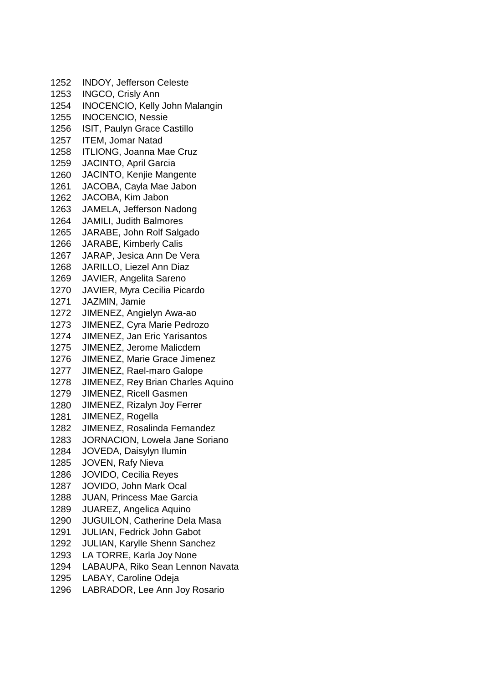INDOY, Jefferson Celeste INGCO, Crisly Ann INOCENCIO, Kelly John Malangin INOCENCIO, Nessie ISIT, Paulyn Grace Castillo ITEM, Jomar Natad ITLIONG, Joanna Mae Cruz JACINTO, April Garcia JACINTO, Kenjie Mangente JACOBA, Cayla Mae Jabon JACOBA, Kim Jabon JAMELA, Jefferson Nadong JAMILI, Judith Balmores JARABE, John Rolf Salgado JARABE, Kimberly Calis JARAP, Jesica Ann De Vera JARILLO, Liezel Ann Diaz JAVIER, Angelita Sareno JAVIER, Myra Cecilia Picardo JAZMIN, Jamie JIMENEZ, Angielyn Awa-ao JIMENEZ, Cyra Marie Pedrozo JIMENEZ, Jan Eric Yarisantos JIMENEZ, Jerome Malicdem JIMENEZ, Marie Grace Jimenez JIMENEZ, Rael-maro Galope JIMENEZ, Rey Brian Charles Aquino JIMENEZ, Ricell Gasmen JIMENEZ, Rizalyn Joy Ferrer JIMENEZ, Rogella JIMENEZ, Rosalinda Fernandez JORNACION, Lowela Jane Soriano JOVEDA, Daisylyn Ilumin JOVEN, Rafy Nieva JOVIDO, Cecilia Reyes JOVIDO, John Mark Ocal JUAN, Princess Mae Garcia JUAREZ, Angelica Aquino JUGUILON, Catherine Dela Masa JULIAN, Fedrick John Gabot JULIAN, Karylle Shenn Sanchez LA TORRE, Karla Joy None LABAUPA, Riko Sean Lennon Navata LABAY, Caroline Odeja

LABRADOR, Lee Ann Joy Rosario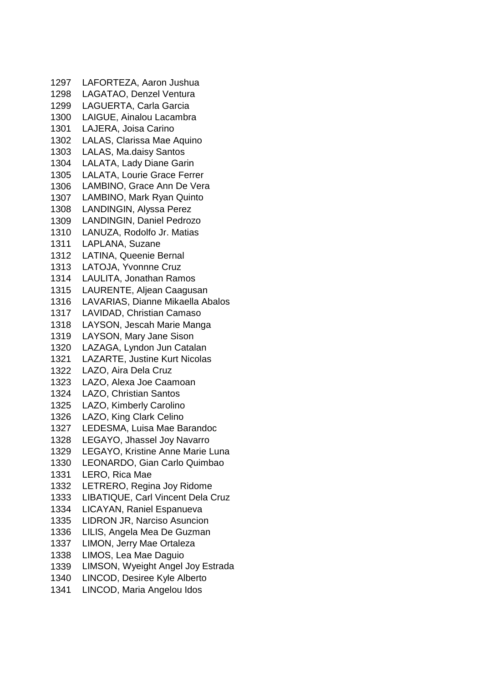LAFORTEZA, Aaron Jushua LAGATAO, Denzel Ventura LAGUERTA, Carla Garcia LAIGUE, Ainalou Lacambra LAJERA, Joisa Carino LALAS, Clarissa Mae Aquino LALAS, Ma.daisy Santos LALATA, Lady Diane Garin LALATA, Lourie Grace Ferrer LAMBINO, Grace Ann De Vera LAMBINO, Mark Ryan Quinto LANDINGIN, Alyssa Perez LANDINGIN, Daniel Pedrozo LANUZA, Rodolfo Jr. Matias LAPLANA, Suzane LATINA, Queenie Bernal LATOJA, Yvonnne Cruz LAULITA, Jonathan Ramos LAURENTE, Aljean Caagusan LAVARIAS, Dianne Mikaella Abalos LAVIDAD, Christian Camaso LAYSON, Jescah Marie Manga LAYSON, Mary Jane Sison LAZAGA, Lyndon Jun Catalan LAZARTE, Justine Kurt Nicolas LAZO, Aira Dela Cruz LAZO, Alexa Joe Caamoan LAZO, Christian Santos LAZO, Kimberly Carolino LAZO, King Clark Celino LEDESMA, Luisa Mae Barandoc LEGAYO, Jhassel Joy Navarro LEGAYO, Kristine Anne Marie Luna LEONARDO, Gian Carlo Quimbao LERO, Rica Mae LETRERO, Regina Joy Ridome LIBATIQUE, Carl Vincent Dela Cruz LICAYAN, Raniel Espanueva LIDRON JR, Narciso Asuncion LILIS, Angela Mea De Guzman LIMON, Jerry Mae Ortaleza LIMOS, Lea Mae Daguio LIMSON, Wyeight Angel Joy Estrada LINCOD, Desiree Kyle Alberto

LINCOD, Maria Angelou Idos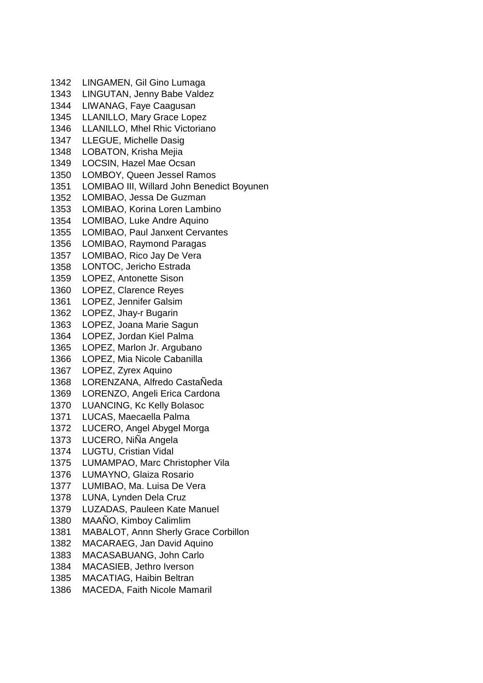LINGAMEN, Gil Gino Lumaga LINGUTAN, Jenny Babe Valdez LIWANAG, Faye Caagusan LLANILLO, Mary Grace Lopez LLANILLO, Mhel Rhic Victoriano LLEGUE, Michelle Dasig LOBATON, Krisha Mejia LOCSIN, Hazel Mae Ocsan LOMBOY, Queen Jessel Ramos LOMIBAO III, Willard John Benedict Boyunen LOMIBAO, Jessa De Guzman LOMIBAO, Korina Loren Lambino LOMIBAO, Luke Andre Aquino LOMIBAO, Paul Janxent Cervantes LOMIBAO, Raymond Paragas LOMIBAO, Rico Jay De Vera LONTOC, Jericho Estrada LOPEZ, Antonette Sison LOPEZ, Clarence Reyes LOPEZ, Jennifer Galsim LOPEZ, Jhay-r Bugarin LOPEZ, Joana Marie Sagun LOPEZ, Jordan Kiel Palma LOPEZ, Marlon Jr. Argubano LOPEZ, Mia Nicole Cabanilla LOPEZ, Zyrex Aquino LORENZANA, Alfredo CastaÑeda LORENZO, Angeli Erica Cardona LUANCING, Kc Kelly Bolasoc LUCAS, Maecaella Palma LUCERO, Angel Abygel Morga LUCERO, NiÑa Angela LUGTU, Cristian Vidal LUMAMPAO, Marc Christopher Vila LUMAYNO, Glaiza Rosario LUMIBAO, Ma. Luisa De Vera LUNA, Lynden Dela Cruz LUZADAS, Pauleen Kate Manuel MAAÑO, Kimboy Calimlim MABALOT, Annn Sherly Grace Corbillon MACARAEG, Jan David Aquino MACASABUANG, John Carlo MACASIEB, Jethro Iverson MACATIAG, Haibin Beltran MACEDA, Faith Nicole Mamaril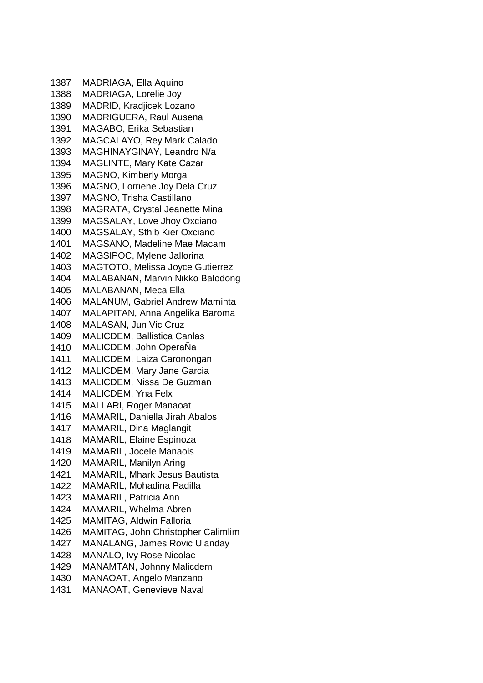MADRIAGA, Ella Aquino MADRIAGA, Lorelie Joy MADRID, Kradjicek Lozano MADRIGUERA, Raul Ausena MAGABO, Erika Sebastian MAGCALAYO, Rey Mark Calado MAGHINAYGINAY, Leandro N/a MAGLINTE, Mary Kate Cazar MAGNO, Kimberly Morga MAGNO, Lorriene Joy Dela Cruz MAGNO, Trisha Castillano MAGRATA, Crystal Jeanette Mina MAGSALAY, Love Jhoy Oxciano MAGSALAY, Sthib Kier Oxciano MAGSANO, Madeline Mae Macam MAGSIPOC, Mylene Jallorina MAGTOTO, Melissa Joyce Gutierrez MALABANAN, Marvin Nikko Balodong MALABANAN, Meca Ella MALANUM, Gabriel Andrew Maminta MALAPITAN, Anna Angelika Baroma MALASAN, Jun Vic Cruz MALICDEM, Ballistica Canlas MALICDEM, John OperaÑa MALICDEM, Laiza Caronongan MALICDEM, Mary Jane Garcia MALICDEM, Nissa De Guzman MALICDEM, Yna Felx MALLARI, Roger Manaoat MAMARIL, Daniella Jirah Abalos MAMARIL, Dina Maglangit MAMARIL, Elaine Espinoza MAMARIL, Jocele Manaois MAMARIL, Manilyn Aring MAMARIL, Mhark Jesus Bautista MAMARIL, Mohadina Padilla MAMARIL, Patricia Ann MAMARIL, Whelma Abren MAMITAG, Aldwin Falloria MAMITAG, John Christopher Calimlim MANALANG, James Rovic Ulanday MANALO, Ivy Rose Nicolac MANAMTAN, Johnny Malicdem MANAOAT, Angelo Manzano MANAOAT, Genevieve Naval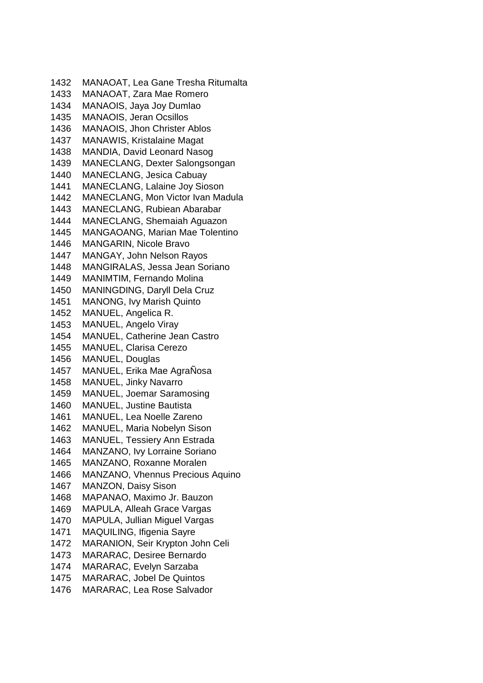MANAOAT, Lea Gane Tresha Ritumalta MANAOAT, Zara Mae Romero MANAOIS, Jaya Joy Dumlao MANAOIS, Jeran Ocsillos MANAOIS, Jhon Christer Ablos MANAWIS, Kristalaine Magat MANDIA, David Leonard Nasog MANECLANG, Dexter Salongsongan MANECLANG, Jesica Cabuay MANECLANG, Lalaine Joy Sioson MANECLANG, Mon Victor Ivan Madula MANECLANG, Rubiean Abarabar MANECLANG, Shemaiah Aguazon MANGAOANG, Marian Mae Tolentino MANGARIN, Nicole Bravo MANGAY, John Nelson Rayos MANGIRALAS, Jessa Jean Soriano MANIMTIM, Fernando Molina MANINGDING, Daryll Dela Cruz MANONG, Ivy Marish Quinto MANUEL, Angelica R. MANUEL, Angelo Viray MANUEL, Catherine Jean Castro MANUEL, Clarisa Cerezo MANUEL, Douglas MANUEL, Erika Mae AgraÑosa MANUEL, Jinky Navarro MANUEL, Joemar Saramosing MANUEL, Justine Bautista MANUEL, Lea Noelle Zareno MANUEL, Maria Nobelyn Sison MANUEL, Tessiery Ann Estrada MANZANO, Ivy Lorraine Soriano MANZANO, Roxanne Moralen MANZANO, Vhennus Precious Aquino MANZON, Daisy Sison MAPANAO, Maximo Jr. Bauzon MAPULA, Alleah Grace Vargas MAPULA, Jullian Miguel Vargas MAQUILING, Ifigenia Sayre MARANION, Seir Krypton John Celi MARARAC, Desiree Bernardo MARARAC, Evelyn Sarzaba MARARAC, Jobel De Quintos MARARAC, Lea Rose Salvador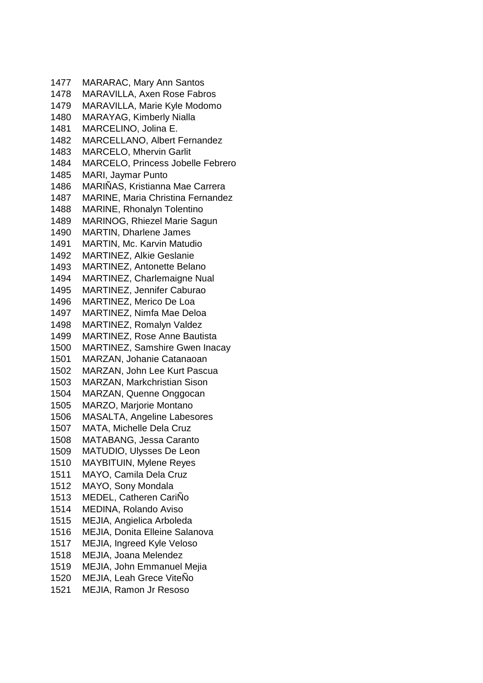MARARAC, Mary Ann Santos MARAVILLA, Axen Rose Fabros MARAVILLA, Marie Kyle Modomo MARAYAG, Kimberly Nialla MARCELINO, Jolina E. MARCELLANO, Albert Fernandez MARCELO, Mhervin Garlit MARCELO, Princess Jobelle Febrero MARI, Jaymar Punto MARIÑAS, Kristianna Mae Carrera MARINE, Maria Christina Fernandez MARINE, Rhonalyn Tolentino MARINOG, Rhiezel Marie Sagun MARTIN, Dharlene James MARTIN, Mc. Karvin Matudio MARTINEZ, Alkie Geslanie MARTINEZ, Antonette Belano MARTINEZ, Charlemaigne Nual MARTINEZ, Jennifer Caburao MARTINEZ, Merico De Loa MARTINEZ, Nimfa Mae Deloa MARTINEZ, Romalyn Valdez MARTINEZ, Rose Anne Bautista MARTINEZ, Samshire Gwen Inacay MARZAN, Johanie Catanaoan MARZAN, John Lee Kurt Pascua MARZAN, Markchristian Sison MARZAN, Quenne Onggocan MARZO, Marjorie Montano MASALTA, Angeline Labesores MATA, Michelle Dela Cruz MATABANG, Jessa Caranto MATUDIO, Ulysses De Leon MAYBITUIN, Mylene Reyes MAYO, Camila Dela Cruz MAYO, Sony Mondala MEDEL, Catheren CariÑo MEDINA, Rolando Aviso MEJIA, Angielica Arboleda MEJIA, Donita Elleine Salanova MEJIA, Ingreed Kyle Veloso MEJIA, Joana Melendez MEJIA, John Emmanuel Mejia 1520 MEJIA, Leah Grece ViteNo MEJIA, Ramon Jr Resoso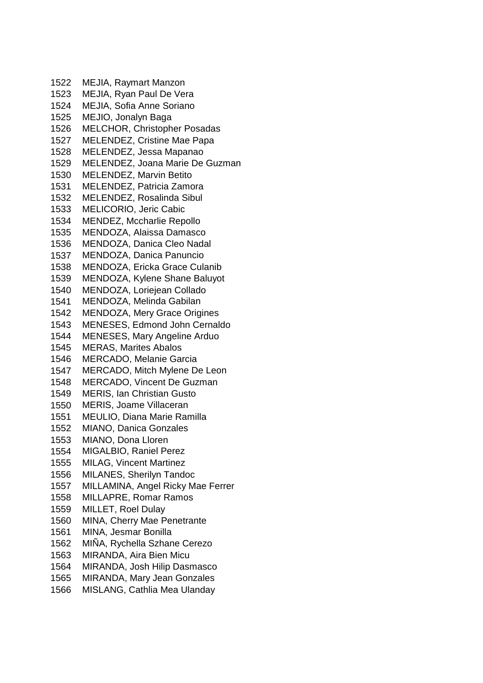MEJIA, Raymart Manzon MEJIA, Ryan Paul De Vera MEJIA, Sofia Anne Soriano MEJIO, Jonalyn Baga MELCHOR, Christopher Posadas MELENDEZ, Cristine Mae Papa MELENDEZ, Jessa Mapanao MELENDEZ, Joana Marie De Guzman MELENDEZ, Marvin Betito MELENDEZ, Patricia Zamora MELENDEZ, Rosalinda Sibul MELICORIO, Jeric Cabic MENDEZ, Mccharlie Repollo MENDOZA, Alaissa Damasco MENDOZA, Danica Cleo Nadal MENDOZA, Danica Panuncio MENDOZA, Ericka Grace Culanib MENDOZA, Kylene Shane Baluyot MENDOZA, Loriejean Collado MENDOZA, Melinda Gabilan MENDOZA, Mery Grace Origines MENESES, Edmond John Cernaldo MENESES, Mary Angeline Arduo MERAS, Marites Abalos MERCADO, Melanie Garcia MERCADO, Mitch Mylene De Leon MERCADO, Vincent De Guzman MERIS, Ian Christian Gusto MERIS, Joame Villaceran MEULIO, Diana Marie Ramilla MIANO, Danica Gonzales MIANO, Dona Lloren MIGALBIO, Raniel Perez MILAG, Vincent Martinez MILANES, Sherilyn Tandoc MILLAMINA, Angel Ricky Mae Ferrer MILLAPRE, Romar Ramos MILLET, Roel Dulay MINA, Cherry Mae Penetrante MINA, Jesmar Bonilla 1562 MINA, Rychella Szhane Cerezo MIRANDA, Aira Bien Micu MIRANDA, Josh Hilip Dasmasco MIRANDA, Mary Jean Gonzales MISLANG, Cathlia Mea Ulanday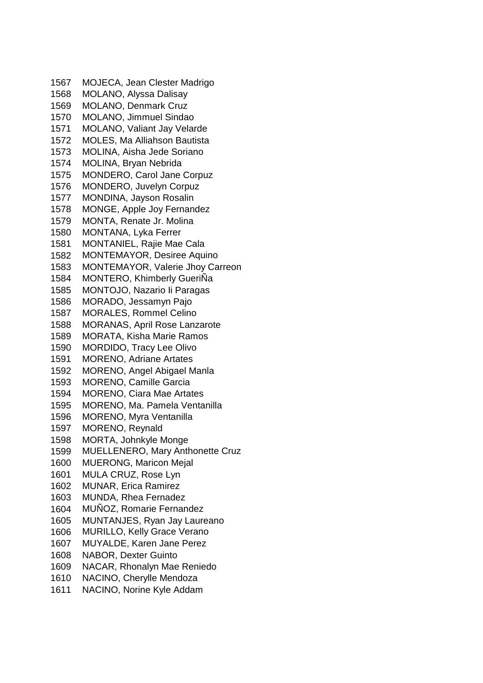MOJECA, Jean Clester Madrigo MOLANO, Alyssa Dalisay MOLANO, Denmark Cruz MOLANO, Jimmuel Sindao MOLANO, Valiant Jay Velarde MOLES, Ma Alliahson Bautista MOLINA, Aisha Jede Soriano MOLINA, Bryan Nebrida MONDERO, Carol Jane Corpuz MONDERO, Juvelyn Corpuz MONDINA, Jayson Rosalin MONGE, Apple Joy Fernandez MONTA, Renate Jr. Molina MONTANA, Lyka Ferrer MONTANIEL, Rajie Mae Cala MONTEMAYOR, Desiree Aquino MONTEMAYOR, Valerie Jhoy Carreon MONTERO, Khimberly GueriÑa MONTOJO, Nazario Ii Paragas MORADO, Jessamyn Pajo MORALES, Rommel Celino MORANAS, April Rose Lanzarote MORATA, Kisha Marie Ramos MORDIDO, Tracy Lee Olivo MORENO, Adriane Artates MORENO, Angel Abigael Manla MORENO, Camille Garcia MORENO, Ciara Mae Artates MORENO, Ma. Pamela Ventanilla MORENO, Myra Ventanilla MORENO, Reynald MORTA, Johnkyle Monge MUELLENERO, Mary Anthonette Cruz MUERONG, Maricon Mejal MULA CRUZ, Rose Lyn MUNAR, Erica Ramirez MUNDA, Rhea Fernadez 1604 MUNOZ, Romarie Fernandez MUNTANJES, Ryan Jay Laureano MURILLO, Kelly Grace Verano MUYALDE, Karen Jane Perez NABOR, Dexter Guinto NACAR, Rhonalyn Mae Reniedo NACINO, Cherylle Mendoza NACINO, Norine Kyle Addam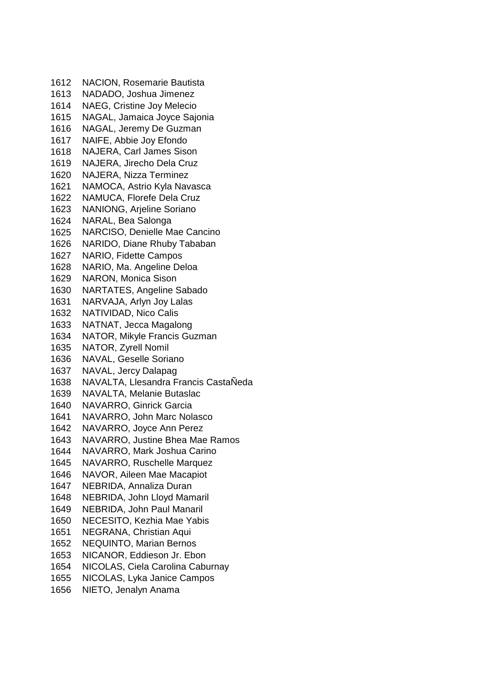NACION, Rosemarie Bautista NADADO, Joshua Jimenez NAEG, Cristine Joy Melecio NAGAL, Jamaica Joyce Sajonia NAGAL, Jeremy De Guzman NAIFE, Abbie Joy Efondo NAJERA, Carl James Sison NAJERA, Jirecho Dela Cruz NAJERA, Nizza Terminez NAMOCA, Astrio Kyla Navasca NAMUCA, Florefe Dela Cruz NANIONG, Arjeline Soriano NARAL, Bea Salonga NARCISO, Denielle Mae Cancino NARIDO, Diane Rhuby Tababan NARIO, Fidette Campos NARIO, Ma. Angeline Deloa NARON, Monica Sison NARTATES, Angeline Sabado NARVAJA, Arlyn Joy Lalas NATIVIDAD, Nico Calis NATNAT, Jecca Magalong NATOR, Mikyle Francis Guzman NATOR, Zyrell Nomil NAVAL, Geselle Soriano NAVAL, Jercy Dalapag NAVALTA, Llesandra Francis CastaÑeda NAVALTA, Melanie Butaslac NAVARRO, Ginrick Garcia NAVARRO, John Marc Nolasco NAVARRO, Joyce Ann Perez NAVARRO, Justine Bhea Mae Ramos NAVARRO, Mark Joshua Carino NAVARRO, Ruschelle Marquez NAVOR, Aileen Mae Macapiot NEBRIDA, Annaliza Duran NEBRIDA, John Lloyd Mamaril NEBRIDA, John Paul Manaril NECESITO, Kezhia Mae Yabis NEGRANA, Christian Aqui NEQUINTO, Marian Bernos NICANOR, Eddieson Jr. Ebon NICOLAS, Ciela Carolina Caburnay NICOLAS, Lyka Janice Campos NIETO, Jenalyn Anama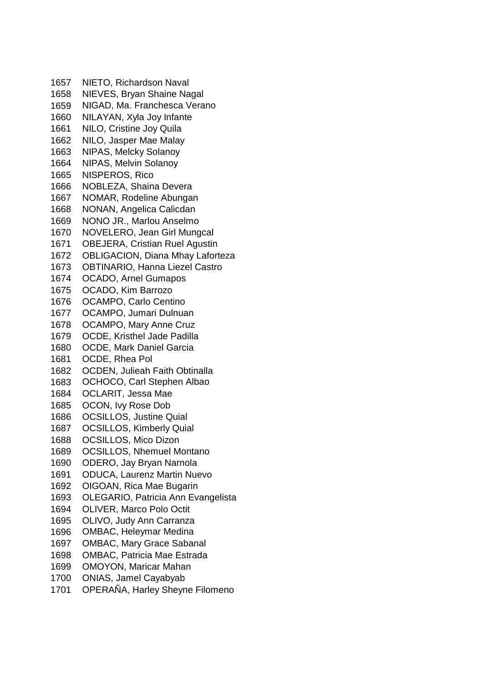NIETO, Richardson Naval NIEVES, Bryan Shaine Nagal NIGAD, Ma. Franchesca Verano NILAYAN, Xyla Joy Infante NILO, Cristine Joy Quila NILO, Jasper Mae Malay NIPAS, Melcky Solanoy NIPAS, Melvin Solanoy NISPEROS, Rico NOBLEZA, Shaina Devera NOMAR, Rodeline Abungan NONAN, Angelica Calicdan NONO JR., Marlou Anselmo NOVELERO, Jean Girl Mungcal OBEJERA, Cristian Ruel Agustin OBLIGACION, Diana Mhay Laforteza OBTINARIO, Hanna Liezel Castro OCADO, Arnel Gumapos OCADO, Kim Barrozo OCAMPO, Carlo Centino OCAMPO, Jumari Dulnuan OCAMPO, Mary Anne Cruz OCDE, Kristhel Jade Padilla OCDE, Mark Daniel Garcia OCDE, Rhea Pol OCDEN, Julieah Faith Obtinalla OCHOCO, Carl Stephen Albao OCLARIT, Jessa Mae OCON, Ivy Rose Dob OCSILLOS, Justine Quial OCSILLOS, Kimberly Quial OCSILLOS, Mico Dizon OCSILLOS, Nhemuel Montano ODERO, Jay Bryan Narnola ODUCA, Laurenz Martin Nuevo OIGOAN, Rica Mae Bugarin OLEGARIO, Patricia Ann Evangelista OLIVER, Marco Polo Octit OLIVO, Judy Ann Carranza OMBAC, Heleymar Medina OMBAC, Mary Grace Sabanal OMBAC, Patricia Mae Estrada OMOYON, Maricar Mahan ONIAS, Jamel Cayabyab OPERAÑA, Harley Sheyne Filomeno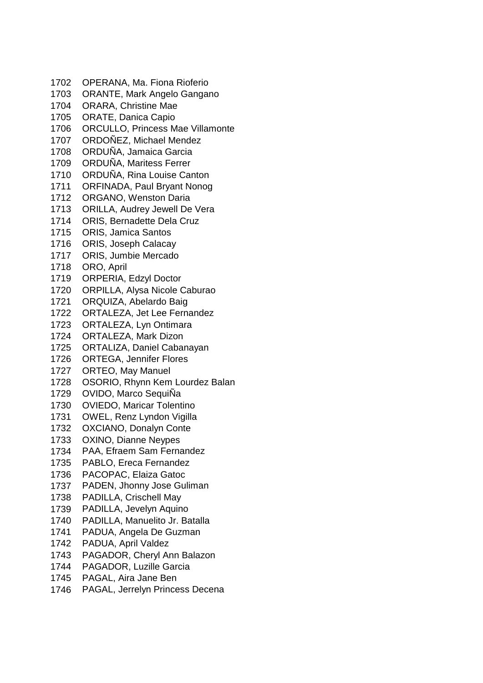- OPERANA, Ma. Fiona Rioferio ORANTE, Mark Angelo Gangano ORARA, Christine Mae ORATE, Danica Capio ORCULLO, Princess Mae Villamonte ORDOÑEZ, Michael Mendez ORDUÑA, Jamaica Garcia ORDUÑA, Maritess Ferrer ORDUÑA, Rina Louise Canton ORFINADA, Paul Bryant Nonog ORGANO, Wenston Daria ORILLA, Audrey Jewell De Vera ORIS, Bernadette Dela Cruz ORIS, Jamica Santos ORIS, Joseph Calacay ORIS, Jumbie Mercado ORO, April ORPERIA, Edzyl Doctor ORPILLA, Alysa Nicole Caburao ORQUIZA, Abelardo Baig ORTALEZA, Jet Lee Fernandez ORTALEZA, Lyn Ontimara ORTALEZA, Mark Dizon ORTALIZA, Daniel Cabanayan ORTEGA, Jennifer Flores ORTEO, May Manuel OSORIO, Rhynn Kem Lourdez Balan OVIDO, Marco SequiÑa OVIEDO, Maricar Tolentino OWEL, Renz Lyndon Vigilla OXCIANO, Donalyn Conte OXINO, Dianne Neypes PAA, Efraem Sam Fernandez PABLO, Ereca Fernandez PACOPAC, Elaiza Gatoc PADEN, Jhonny Jose Guliman PADILLA, Crischell May PADILLA, Jevelyn Aquino PADILLA, Manuelito Jr. Batalla PADUA, Angela De Guzman PADUA, April Valdez PAGADOR, Cheryl Ann Balazon PAGADOR, Luzille Garcia PAGAL, Aira Jane Ben
- PAGAL, Jerrelyn Princess Decena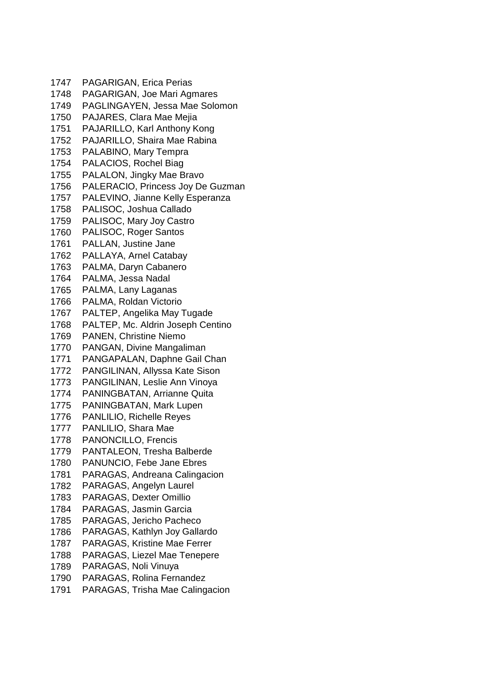| 1747 | PAGARIGAN, Erica Perias             |
|------|-------------------------------------|
| 1748 | PAGARIGAN, Joe Mari Agmares         |
| 1749 | PAGLINGAYEN, Jessa Mae Solomon      |
| 1750 | PAJARES, Clara Mae Mejia            |
| 1751 | PAJARILLO, Karl Anthony Kong        |
| 1752 | PAJARILLO, Shaira Mae Rabina        |
| 1753 | PALABINO, Mary Tempra               |
| 1754 | PALACIOS, Rochel Biag               |
| 1755 | PALALON, Jingky Mae Bravo           |
| 1756 | PALERACIO, Princess Joy De Guzman   |
| 1757 | PALEVINO, Jianne Kelly Esperanza    |
| 1758 | PALISOC, Joshua Callado             |
| 1759 | PALISOC, Mary Joy Castro            |
| 1760 | PALISOC, Roger Santos               |
| 1761 | PALLAN, Justine Jane                |
| 1762 | PALLAYA, Arnel Catabay              |
| 1763 | PALMA, Daryn Cabanero               |
| 1764 | PALMA, Jessa Nadal                  |
| 1765 | PALMA, Lany Laganas                 |
| 1766 | PALMA, Roldan Victorio              |
| 1767 | PALTEP, Angelika May Tugade         |
| 1768 | PALTEP, Mc. Aldrin Joseph Centino   |
| 1769 | <b>PANEN, Christine Niemo</b>       |
| 1770 | PANGAN, Divine Mangaliman           |
| 1771 | PANGAPALAN, Daphne Gail Chan        |
| 1772 | PANGILINAN, Allyssa Kate Sison      |
| 1773 | PANGILINAN, Leslie Ann Vinoya       |
| 1774 | <b>PANINGBATAN, Arrianne Quita</b>  |
| 1775 | PANINGBATAN, Mark Lupen             |
| 1776 | <b>PANLILIO, Richelle Reyes</b>     |
| 1777 | PANLILIO, Shara Mae                 |
| 1778 | PANONCILLO, Frencis                 |
| 1779 | PANTALEON, Tresha Balberde          |
| 1780 | <b>PANUNCIO, Febe Jane Ebres</b>    |
| 1781 | PARAGAS, Andreana Calingacion       |
| 1782 | PARAGAS, Angelyn Laurel             |
| 1783 | PARAGAS, Dexter Omillio             |
| 1784 | PARAGAS, Jasmin Garcia              |
| 1785 | PARAGAS, Jericho Pacheco            |
| 1786 | PARAGAS, Kathlyn Joy Gallardo       |
| 1787 | <b>PARAGAS, Kristine Mae Ferrer</b> |
| 1788 | PARAGAS, Liezel Mae Tenepere        |
| 1789 | PARAGAS, Noli Vinuya                |
| 1790 | PARAGAS, Rolina Fernandez           |
| 1791 | PARAGAS, Trisha Mae Calingacion     |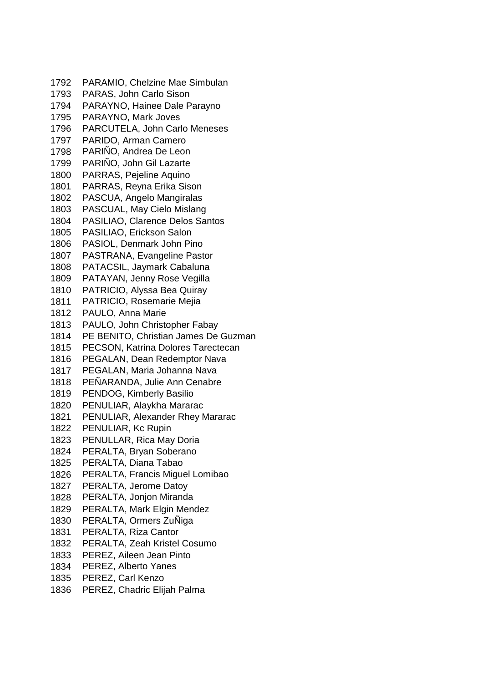PARAMIO, Chelzine Mae Simbulan PARAS, John Carlo Sison PARAYNO, Hainee Dale Parayno PARAYNO, Mark Joves PARCUTELA, John Carlo Meneses PARIDO, Arman Camero PARIÑO, Andrea De Leon PARIÑO, John Gil Lazarte PARRAS, Pejeline Aquino PARRAS, Reyna Erika Sison PASCUA, Angelo Mangiralas PASCUAL, May Cielo Mislang PASILIAO, Clarence Delos Santos PASILIAO, Erickson Salon PASIOL, Denmark John Pino PASTRANA, Evangeline Pastor PATACSIL, Jaymark Cabaluna PATAYAN, Jenny Rose Vegilla PATRICIO, Alyssa Bea Quiray PATRICIO, Rosemarie Mejia PAULO, Anna Marie PAULO, John Christopher Fabay PE BENITO, Christian James De Guzman PECSON, Katrina Dolores Tarectecan PEGALAN, Dean Redemptor Nava PEGALAN, Maria Johanna Nava PEÑARANDA, Julie Ann Cenabre PENDOG, Kimberly Basilio PENULIAR, Alaykha Mararac PENULIAR, Alexander Rhey Mararac PENULIAR, Kc Rupin PENULLAR, Rica May Doria PERALTA, Bryan Soberano PERALTA, Diana Tabao PERALTA, Francis Miguel Lomibao PERALTA, Jerome Datoy PERALTA, Jonjon Miranda PERALTA, Mark Elgin Mendez PERALTA, Ormers ZuÑiga PERALTA, Riza Cantor PERALTA, Zeah Kristel Cosumo PEREZ, Aileen Jean Pinto PEREZ, Alberto Yanes PEREZ, Carl Kenzo PEREZ, Chadric Elijah Palma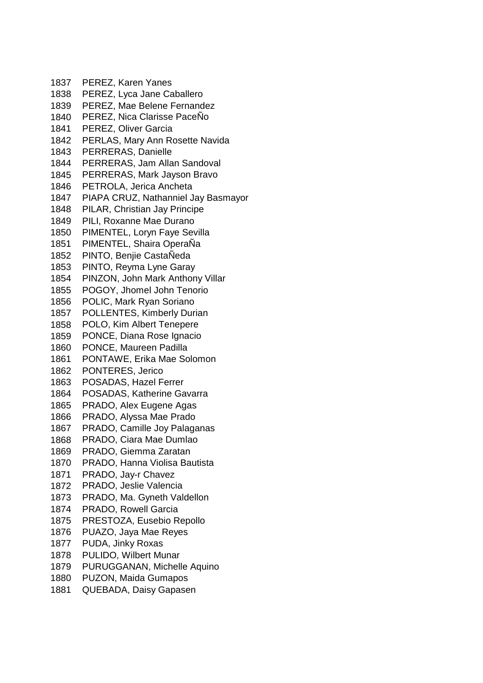PEREZ, Karen Yanes PEREZ, Lyca Jane Caballero PEREZ, Mae Belene Fernandez PEREZ, Nica Clarisse PaceÑo PEREZ, Oliver Garcia PERLAS, Mary Ann Rosette Navida PERRERAS, Danielle PERRERAS, Jam Allan Sandoval PERRERAS, Mark Jayson Bravo PETROLA, Jerica Ancheta PIAPA CRUZ, Nathanniel Jay Basmayor PILAR, Christian Jay Principe PILI, Roxanne Mae Durano PIMENTEL, Loryn Faye Sevilla PIMENTEL, Shaira OperaÑa PINTO, Benjie CastaÑeda PINTO, Reyma Lyne Garay PINZON, John Mark Anthony Villar POGOY, Jhomel John Tenorio POLIC, Mark Ryan Soriano POLLENTES, Kimberly Durian POLO, Kim Albert Tenepere PONCE, Diana Rose Ignacio PONCE, Maureen Padilla PONTAWE, Erika Mae Solomon PONTERES, Jerico POSADAS, Hazel Ferrer POSADAS, Katherine Gavarra PRADO, Alex Eugene Agas PRADO, Alyssa Mae Prado PRADO, Camille Joy Palaganas PRADO, Ciara Mae Dumlao PRADO, Giemma Zaratan PRADO, Hanna Violisa Bautista PRADO, Jay-r Chavez PRADO, Jeslie Valencia PRADO, Ma. Gyneth Valdellon PRADO, Rowell Garcia PRESTOZA, Eusebio Repollo PUAZO, Jaya Mae Reyes PUDA, Jinky Roxas PULIDO, Wilbert Munar PURUGGANAN, Michelle Aquino PUZON, Maida Gumapos QUEBADA, Daisy Gapasen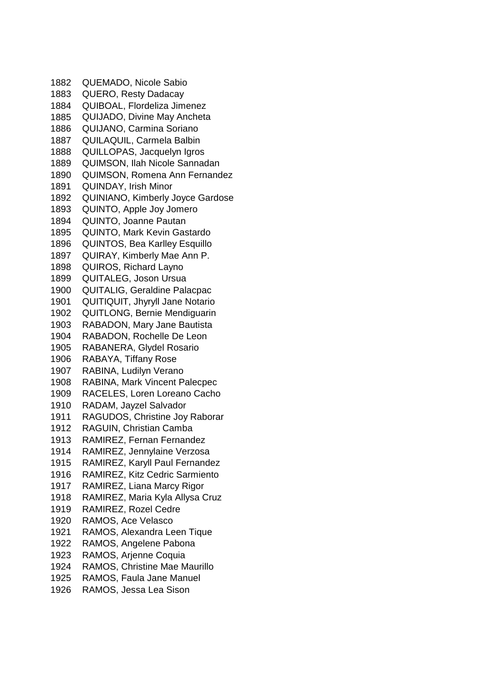QUEMADO, Nicole Sabio QUERO, Resty Dadacay QUIBOAL, Flordeliza Jimenez QUIJADO, Divine May Ancheta QUIJANO, Carmina Soriano QUILAQUIL, Carmela Balbin QUILLOPAS, Jacquelyn Igros QUIMSON, Ilah Nicole Sannadan QUIMSON, Romena Ann Fernandez QUINDAY, Irish Minor QUINIANO, Kimberly Joyce Gardose QUINTO, Apple Joy Jomero QUINTO, Joanne Pautan QUINTO, Mark Kevin Gastardo QUINTOS, Bea Karlley Esquillo QUIRAY, Kimberly Mae Ann P. QUIROS, Richard Layno QUITALEG, Joson Ursua QUITALIG, Geraldine Palacpac QUITIQUIT, Jhyryll Jane Notario QUITLONG, Bernie Mendiguarin RABADON, Mary Jane Bautista RABADON, Rochelle De Leon RABANERA, Glydel Rosario RABAYA, Tiffany Rose RABINA, Ludilyn Verano RABINA, Mark Vincent Palecpec RACELES, Loren Loreano Cacho RADAM, Jayzel Salvador RAGUDOS, Christine Joy Raborar RAGUIN, Christian Camba RAMIREZ, Fernan Fernandez RAMIREZ, Jennylaine Verzosa RAMIREZ, Karyll Paul Fernandez RAMIREZ, Kitz Cedric Sarmiento RAMIREZ, Liana Marcy Rigor RAMIREZ, Maria Kyla Allysa Cruz RAMIREZ, Rozel Cedre RAMOS, Ace Velasco RAMOS, Alexandra Leen Tique RAMOS, Angelene Pabona RAMOS, Arjenne Coquia RAMOS, Christine Mae Maurillo RAMOS, Faula Jane Manuel RAMOS, Jessa Lea Sison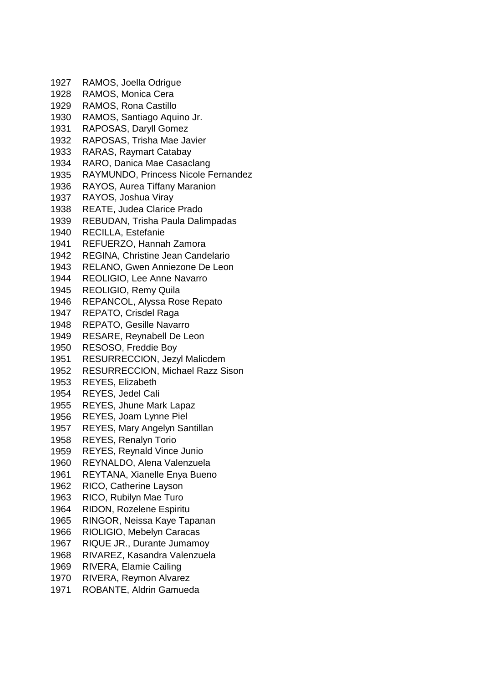RAMOS, Joella Odrigue RAMOS, Monica Cera RAMOS, Rona Castillo RAMOS, Santiago Aquino Jr. RAPOSAS, Daryll Gomez RAPOSAS, Trisha Mae Javier RARAS, Raymart Catabay RARO, Danica Mae Casaclang RAYMUNDO, Princess Nicole Fernandez RAYOS, Aurea Tiffany Maranion RAYOS, Joshua Viray REATE, Judea Clarice Prado REBUDAN, Trisha Paula Dalimpadas RECILLA, Estefanie REFUERZO, Hannah Zamora REGINA, Christine Jean Candelario RELANO, Gwen Anniezone De Leon REOLIGIO, Lee Anne Navarro REOLIGIO, Remy Quila REPANCOL, Alyssa Rose Repato REPATO, Crisdel Raga REPATO, Gesille Navarro RESARE, Reynabell De Leon RESOSO, Freddie Boy RESURRECCION, Jezyl Malicdem RESURRECCION, Michael Razz Sison REYES, Elizabeth REYES, Jedel Cali REYES, Jhune Mark Lapaz REYES, Joam Lynne Piel REYES, Mary Angelyn Santillan REYES, Renalyn Torio REYES, Reynald Vince Junio REYNALDO, Alena Valenzuela REYTANA, Xianelle Enya Bueno RICO, Catherine Layson RICO, Rubilyn Mae Turo RIDON, Rozelene Espiritu RINGOR, Neissa Kaye Tapanan RIOLIGIO, Mebelyn Caracas RIQUE JR., Durante Jumamoy RIVAREZ, Kasandra Valenzuela RIVERA, Elamie Cailing RIVERA, Reymon Alvarez ROBANTE, Aldrin Gamueda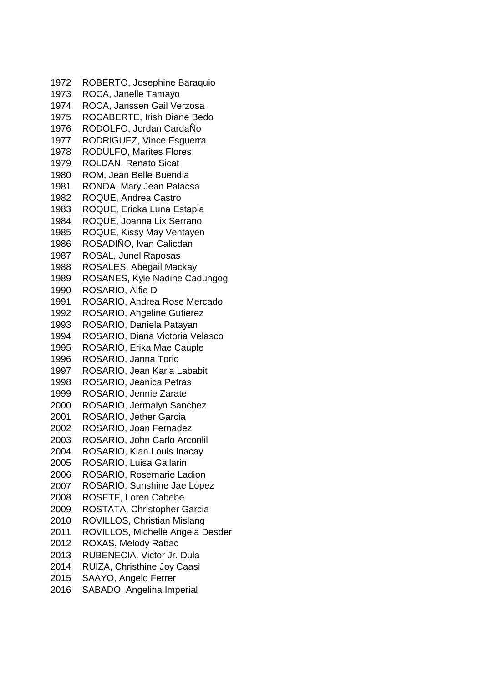ROBERTO, Josephine Baraquio ROCA, Janelle Tamayo ROCA, Janssen Gail Verzosa ROCABERTE, Irish Diane Bedo RODOLFO, Jordan CardaÑo RODRIGUEZ, Vince Esguerra RODULFO, Marites Flores ROLDAN, Renato Sicat ROM, Jean Belle Buendia RONDA, Mary Jean Palacsa ROQUE, Andrea Castro ROQUE, Ericka Luna Estapia ROQUE, Joanna Lix Serrano ROQUE, Kissy May Ventayen ROSADIÑO, Ivan Calicdan ROSAL, Junel Raposas ROSALES, Abegail Mackay ROSANES, Kyle Nadine Cadungog ROSARIO, Alfie D ROSARIO, Andrea Rose Mercado ROSARIO, Angeline Gutierez ROSARIO, Daniela Patayan ROSARIO, Diana Victoria Velasco ROSARIO, Erika Mae Cauple ROSARIO, Janna Torio ROSARIO, Jean Karla Lababit ROSARIO, Jeanica Petras ROSARIO, Jennie Zarate ROSARIO, Jermalyn Sanchez ROSARIO, Jether Garcia ROSARIO, Joan Fernadez ROSARIO, John Carlo Arconlil ROSARIO, Kian Louis Inacay ROSARIO, Luisa Gallarin ROSARIO, Rosemarie Ladion ROSARIO, Sunshine Jae Lopez ROSETE, Loren Cabebe ROSTATA, Christopher Garcia ROVILLOS, Christian Mislang ROVILLOS, Michelle Angela Desder ROXAS, Melody Rabac RUBENECIA, Victor Jr. Dula RUIZA, Christhine Joy Caasi SAAYO, Angelo Ferrer SABADO, Angelina Imperial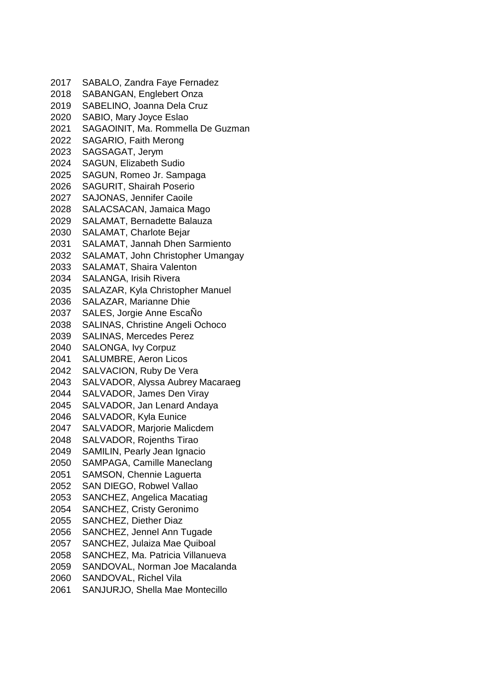SABALO, Zandra Faye Fernadez SABANGAN, Englebert Onza SABELINO, Joanna Dela Cruz SABIO, Mary Joyce Eslao SAGAOINIT, Ma. Rommella De Guzman SAGARIO, Faith Merong SAGSAGAT, Jerym SAGUN, Elizabeth Sudio SAGUN, Romeo Jr. Sampaga SAGURIT, Shairah Poserio SAJONAS, Jennifer Caoile SALACSACAN, Jamaica Mago SALAMAT, Bernadette Balauza SALAMAT, Charlote Bejar SALAMAT, Jannah Dhen Sarmiento SALAMAT, John Christopher Umangay SALAMAT, Shaira Valenton SALANGA, Irisih Rivera SALAZAR, Kyla Christopher Manuel SALAZAR, Marianne Dhie SALES, Jorgie Anne EscaÑo SALINAS, Christine Angeli Ochoco SALINAS, Mercedes Perez SALONGA, Ivy Corpuz SALUMBRE, Aeron Licos SALVACION, Ruby De Vera SALVADOR, Alyssa Aubrey Macaraeg SALVADOR, James Den Viray SALVADOR, Jan Lenard Andaya SALVADOR, Kyla Eunice SALVADOR, Marjorie Malicdem SALVADOR, Rojenths Tirao SAMILIN, Pearly Jean Ignacio SAMPAGA, Camille Maneclang SAMSON, Chennie Laguerta SAN DIEGO, Robwel Vallao SANCHEZ, Angelica Macatiag SANCHEZ, Cristy Geronimo SANCHEZ, Diether Diaz SANCHEZ, Jennel Ann Tugade SANCHEZ, Julaiza Mae Quiboal SANCHEZ, Ma. Patricia Villanueva SANDOVAL, Norman Joe Macalanda SANDOVAL, Richel Vila SANJURJO, Shella Mae Montecillo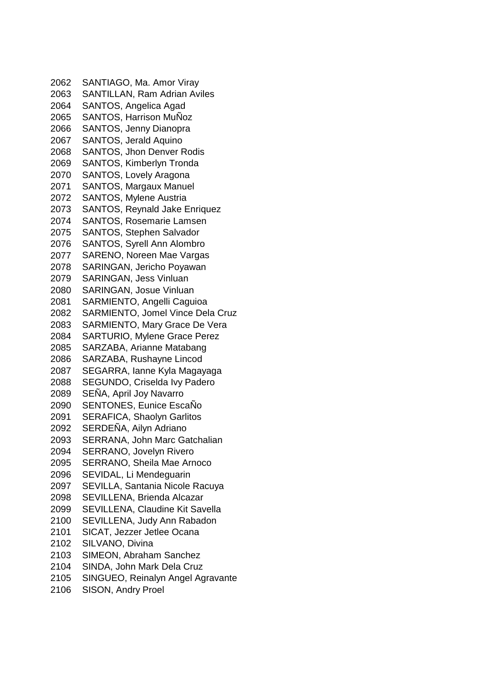SANTIAGO, Ma. Amor Viray SANTILLAN, Ram Adrian Aviles SANTOS, Angelica Agad SANTOS, Harrison MuÑoz SANTOS, Jenny Dianopra SANTOS, Jerald Aquino SANTOS, Jhon Denver Rodis SANTOS, Kimberlyn Tronda SANTOS, Lovely Aragona SANTOS, Margaux Manuel SANTOS, Mylene Austria SANTOS, Reynald Jake Enriquez SANTOS, Rosemarie Lamsen SANTOS, Stephen Salvador SANTOS, Syrell Ann Alombro SARENO, Noreen Mae Vargas SARINGAN, Jericho Poyawan SARINGAN, Jess Vinluan SARINGAN, Josue Vinluan SARMIENTO, Angelli Caguioa SARMIENTO, Jomel Vince Dela Cruz SARMIENTO, Mary Grace De Vera SARTURIO, Mylene Grace Perez SARZABA, Arianne Matabang SARZABA, Rushayne Lincod SEGARRA, Ianne Kyla Magayaga SEGUNDO, Criselda Ivy Padero SEÑA, April Joy Navarro SENTONES, Eunice EscaÑo SERAFICA, Shaolyn Garlitos 2092 SERDENA, Ailyn Adriano SERRANA, John Marc Gatchalian SERRANO, Jovelyn Rivero SERRANO, Sheila Mae Arnoco SEVIDAL, Li Mendeguarin SEVILLA, Santania Nicole Racuya SEVILLENA, Brienda Alcazar SEVILLENA, Claudine Kit Savella SEVILLENA, Judy Ann Rabadon SICAT, Jezzer Jetlee Ocana SILVANO, Divina SIMEON, Abraham Sanchez SINDA, John Mark Dela Cruz SINGUEO, Reinalyn Angel Agravante

SISON, Andry Proel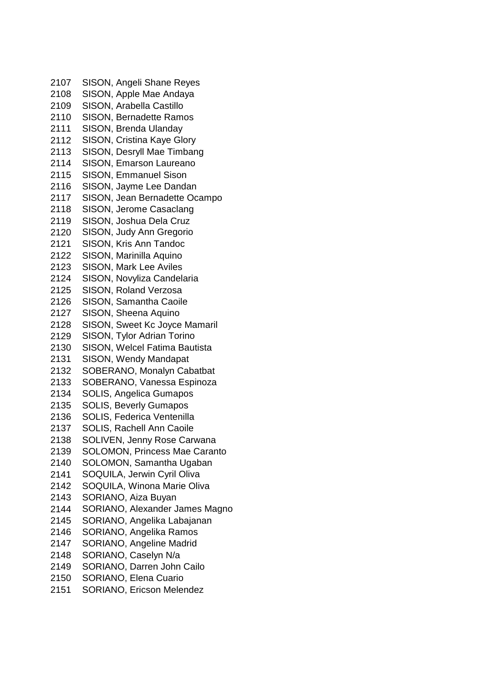SISON, Angeli Shane Reyes SISON, Apple Mae Andaya SISON, Arabella Castillo SISON, Bernadette Ramos SISON, Brenda Ulanday SISON, Cristina Kaye Glory SISON, Desryll Mae Timbang SISON, Emarson Laureano SISON, Emmanuel Sison SISON, Jayme Lee Dandan SISON, Jean Bernadette Ocampo SISON, Jerome Casaclang SISON, Joshua Dela Cruz SISON, Judy Ann Gregorio SISON, Kris Ann Tandoc SISON, Marinilla Aquino SISON, Mark Lee Aviles SISON, Novyliza Candelaria SISON, Roland Verzosa SISON, Samantha Caoile SISON, Sheena Aquino SISON, Sweet Kc Joyce Mamaril SISON, Tylor Adrian Torino SISON, Welcel Fatima Bautista SISON, Wendy Mandapat SOBERANO, Monalyn Cabatbat SOBERANO, Vanessa Espinoza SOLIS, Angelica Gumapos SOLIS, Beverly Gumapos SOLIS, Federica Ventenilla SOLIS, Rachell Ann Caoile SOLIVEN, Jenny Rose Carwana SOLOMON, Princess Mae Caranto SOLOMON, Samantha Ugaban SOQUILA, Jerwin Cyril Oliva SOQUILA, Winona Marie Oliva SORIANO, Aiza Buyan SORIANO, Alexander James Magno SORIANO, Angelika Labajanan SORIANO, Angelika Ramos SORIANO, Angeline Madrid SORIANO, Caselyn N/a SORIANO, Darren John Cailo SORIANO, Elena Cuario SORIANO, Ericson Melendez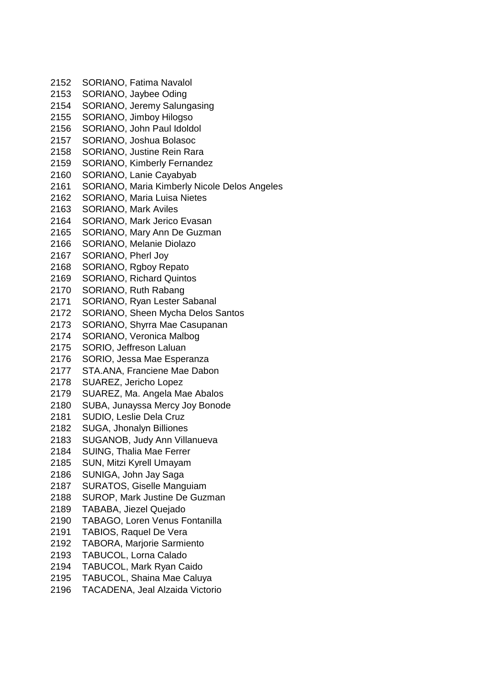SORIANO, Fatima Navalol SORIANO, Jaybee Oding SORIANO, Jeremy Salungasing SORIANO, Jimboy Hilogso SORIANO, John Paul Idoldol SORIANO, Joshua Bolasoc SORIANO, Justine Rein Rara SORIANO, Kimberly Fernandez SORIANO, Lanie Cayabyab SORIANO, Maria Kimberly Nicole Delos Angeles SORIANO, Maria Luisa Nietes SORIANO, Mark Aviles SORIANO, Mark Jerico Evasan SORIANO, Mary Ann De Guzman SORIANO, Melanie Diolazo SORIANO, Pherl Joy SORIANO, Rgboy Repato SORIANO, Richard Quintos SORIANO, Ruth Rabang SORIANO, Ryan Lester Sabanal SORIANO, Sheen Mycha Delos Santos SORIANO, Shyrra Mae Casupanan SORIANO, Veronica Malbog SORIO, Jeffreson Laluan SORIO, Jessa Mae Esperanza STA.ANA, Franciene Mae Dabon SUAREZ, Jericho Lopez SUAREZ, Ma. Angela Mae Abalos SUBA, Junayssa Mercy Joy Bonode SUDIO, Leslie Dela Cruz SUGA, Jhonalyn Billiones SUGANOB, Judy Ann Villanueva SUING, Thalia Mae Ferrer SUN, Mitzi Kyrell Umayam SUNIGA, John Jay Saga SURATOS, Giselle Manguiam SUROP, Mark Justine De Guzman TABABA, Jiezel Quejado TABAGO, Loren Venus Fontanilla TABIOS, Raquel De Vera TABORA, Marjorie Sarmiento TABUCOL, Lorna Calado TABUCOL, Mark Ryan Caido TABUCOL, Shaina Mae Caluya TACADENA, Jeal Alzaida Victorio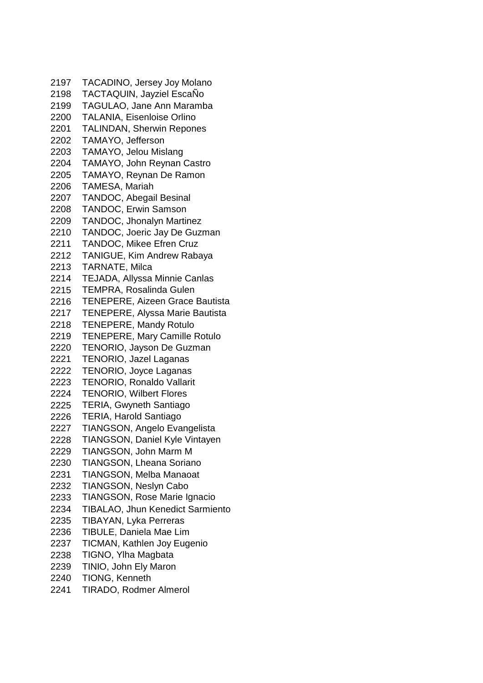TACADINO, Jersey Joy Molano TACTAQUIN, Jayziel EscaÑo TAGULAO, Jane Ann Maramba TALANIA, Eisenloise Orlino TALINDAN, Sherwin Repones TAMAYO, Jefferson TAMAYO, Jelou Mislang TAMAYO, John Reynan Castro TAMAYO, Reynan De Ramon TAMESA, Mariah TANDOC, Abegail Besinal TANDOC, Erwin Samson TANDOC, Jhonalyn Martinez TANDOC, Joeric Jay De Guzman TANDOC, Mikee Efren Cruz TANIGUE, Kim Andrew Rabaya TARNATE, Milca TEJADA, Allyssa Minnie Canlas TEMPRA, Rosalinda Gulen TENEPERE, Aizeen Grace Bautista TENEPERE, Alyssa Marie Bautista TENEPERE, Mandy Rotulo TENEPERE, Mary Camille Rotulo TENORIO, Jayson De Guzman TENORIO, Jazel Laganas TENORIO, Joyce Laganas TENORIO, Ronaldo Vallarit TENORIO, Wilbert Flores TERIA, Gwyneth Santiago TERIA, Harold Santiago TIANGSON, Angelo Evangelista TIANGSON, Daniel Kyle Vintayen TIANGSON, John Marm M TIANGSON, Lheana Soriano TIANGSON, Melba Manaoat TIANGSON, Neslyn Cabo TIANGSON, Rose Marie Ignacio TIBALAO, Jhun Kenedict Sarmiento TIBAYAN, Lyka Perreras TIBULE, Daniela Mae Lim TICMAN, Kathlen Joy Eugenio TIGNO, Ylha Magbata TINIO, John Ely Maron TIONG, Kenneth TIRADO, Rodmer Almerol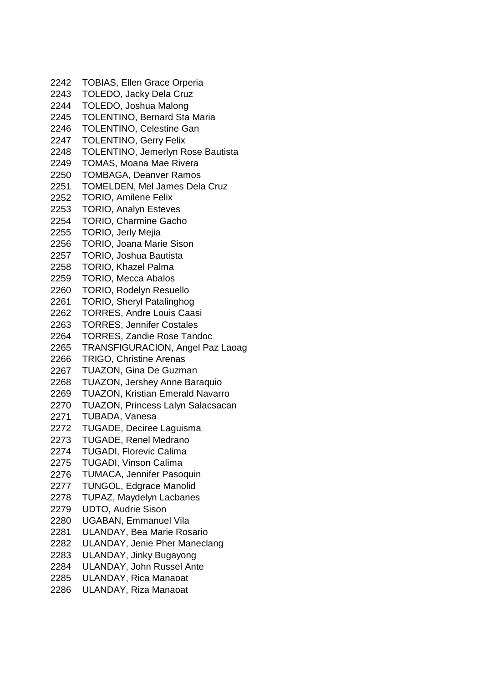TOBIAS, Ellen Grace Orperia TOLEDO, Jacky Dela Cruz TOLEDO, Joshua Malong TOLENTINO, Bernard Sta Maria TOLENTINO, Celestine Gan TOLENTINO, Gerry Felix TOLENTINO, Jemerlyn Rose Bautista TOMAS, Moana Mae Rivera TOMBAGA, Deanver Ramos TOMELDEN, Mel James Dela Cruz TORIO, Amilene Felix TORIO, Analyn Esteves TORIO, Charmine Gacho TORIO, Jerly Mejia TORIO, Joana Marie Sison TORIO, Joshua Bautista TORIO, Khazel Palma TORIO, Mecca Abalos TORIO, Rodelyn Resuello TORIO, Sheryl Patalinghog TORRES, Andre Louis Caasi TORRES, Jennifer Costales TORRES, Zandie Rose Tandoc TRANSFIGURACION, Angel Paz Laoag TRIGO, Christine Arenas TUAZON, Gina De Guzman TUAZON, Jershey Anne Baraquio TUAZON, Kristian Emerald Navarro TUAZON, Princess Lalyn Salacsacan TUBADA, Vanesa TUGADE, Deciree Laguisma TUGADE, Renel Medrano TUGADI, Florevic Calima TUGADI, Vinson Calima TUMACA, Jennifer Pasoquin TUNGOL, Edgrace Manolid TUPAZ, Maydelyn Lacbanes UDTO, Audrie Sison UGABAN, Emmanuel Vila ULANDAY, Bea Marie Rosario ULANDAY, Jenie Pher Maneclang ULANDAY, Jinky Bugayong ULANDAY, John Russel Ante ULANDAY, Rica Manaoat ULANDAY, Riza Manaoat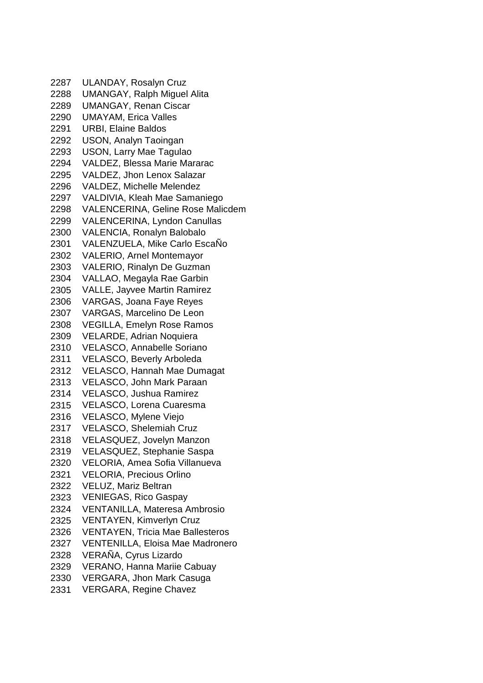ULANDAY, Rosalyn Cruz UMANGAY, Ralph Miguel Alita UMANGAY, Renan Ciscar UMAYAM, Erica Valles URBI, Elaine Baldos USON, Analyn Taoingan USON, Larry Mae Tagulao VALDEZ, Blessa Marie Mararac VALDEZ, Jhon Lenox Salazar VALDEZ, Michelle Melendez VALDIVIA, Kleah Mae Samaniego VALENCERINA, Geline Rose Malicdem VALENCERINA, Lyndon Canullas VALENCIA, Ronalyn Balobalo VALENZUELA, Mike Carlo EscaÑo VALERIO, Arnel Montemayor VALERIO, Rinalyn De Guzman VALLAO, Megayla Rae Garbin VALLE, Jayvee Martin Ramirez VARGAS, Joana Faye Reyes VARGAS, Marcelino De Leon VEGILLA, Emelyn Rose Ramos VELARDE, Adrian Noquiera VELASCO, Annabelle Soriano VELASCO, Beverly Arboleda VELASCO, Hannah Mae Dumagat VELASCO, John Mark Paraan VELASCO, Jushua Ramirez VELASCO, Lorena Cuaresma VELASCO, Mylene Viejo VELASCO, Shelemiah Cruz VELASQUEZ, Jovelyn Manzon VELASQUEZ, Stephanie Saspa VELORIA, Amea Sofia Villanueva VELORIA, Precious Orlino VELUZ, Mariz Beltran VENIEGAS, Rico Gaspay VENTANILLA, Materesa Ambrosio VENTAYEN, Kimverlyn Cruz VENTAYEN, Tricia Mae Ballesteros VENTENILLA, Eloisa Mae Madronero VERAÑA, Cyrus Lizardo VERANO, Hanna Mariie Cabuay VERGARA, Jhon Mark Casuga VERGARA, Regine Chavez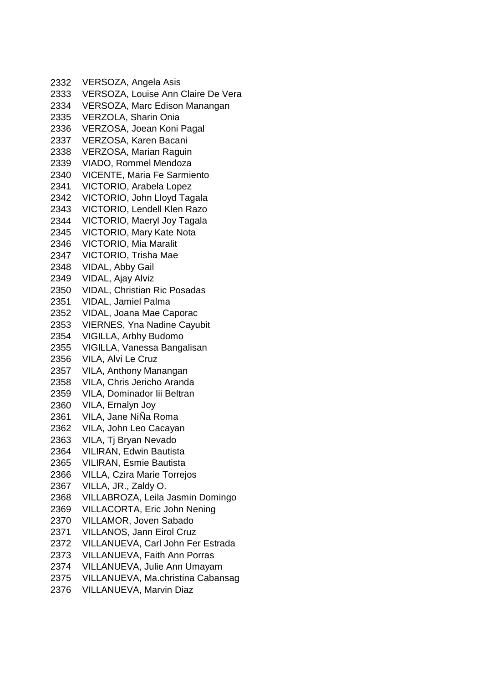VERSOZA, Angela Asis VERSOZA, Louise Ann Claire De Vera VERSOZA, Marc Edison Manangan VERZOLA, Sharin Onia VERZOSA, Joean Koni Pagal VERZOSA, Karen Bacani VERZOSA, Marian Raguin VIADO, Rommel Mendoza VICENTE, Maria Fe Sarmiento VICTORIO, Arabela Lopez VICTORIO, John Lloyd Tagala VICTORIO, Lendell Klen Razo VICTORIO, Maeryl Joy Tagala VICTORIO, Mary Kate Nota VICTORIO, Mia Maralit VICTORIO, Trisha Mae VIDAL, Abby Gail VIDAL, Ajay Alviz VIDAL, Christian Ric Posadas VIDAL, Jamiel Palma VIDAL, Joana Mae Caporac VIERNES, Yna Nadine Cayubit VIGILLA, Arbhy Budomo VIGILLA, Vanessa Bangalisan VILA, Alvi Le Cruz VILA, Anthony Manangan VILA, Chris Jericho Aranda VILA, Dominador Iii Beltran VILA, Ernalyn Joy VILA, Jane NiÑa Roma VILA, John Leo Cacayan VILA, Tj Bryan Nevado VILIRAN, Edwin Bautista VILIRAN, Esmie Bautista VILLA, Czira Marie Torrejos VILLA, JR., Zaldy O. VILLABROZA, Leila Jasmin Domingo VILLACORTA, Eric John Nening VILLAMOR, Joven Sabado VILLANOS, Jann Eirol Cruz VILLANUEVA, Carl John Fer Estrada VILLANUEVA, Faith Ann Porras VILLANUEVA, Julie Ann Umayam VILLANUEVA, Ma.christina Cabansag VILLANUEVA, Marvin Diaz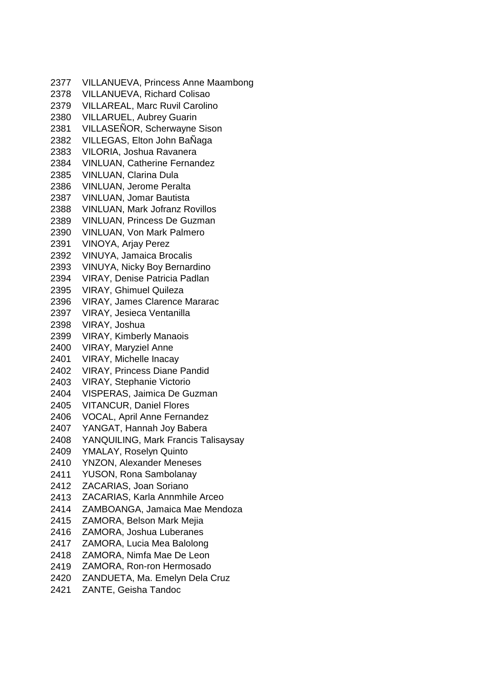VILLANUEVA, Princess Anne Maambong VILLANUEVA, Richard Colisao VILLAREAL, Marc Ruvil Carolino VILLARUEL, Aubrey Guarin VILLASEÑOR, Scherwayne Sison VILLEGAS, Elton John BaÑaga VILORIA, Joshua Ravanera VINLUAN, Catherine Fernandez VINLUAN, Clarina Dula VINLUAN, Jerome Peralta VINLUAN, Jomar Bautista VINLUAN, Mark Jofranz Rovillos VINLUAN, Princess De Guzman VINLUAN, Von Mark Palmero VINOYA, Arjay Perez VINUYA, Jamaica Brocalis VINUYA, Nicky Boy Bernardino VIRAY, Denise Patricia Padlan VIRAY, Ghimuel Quileza VIRAY, James Clarence Mararac VIRAY, Jesieca Ventanilla VIRAY, Joshua VIRAY, Kimberly Manaois VIRAY, Maryziel Anne VIRAY, Michelle Inacay VIRAY, Princess Diane Pandid VIRAY, Stephanie Victorio VISPERAS, Jaimica De Guzman VITANCUR, Daniel Flores VOCAL, April Anne Fernandez YANGAT, Hannah Joy Babera YANQUILING, Mark Francis Talisaysay YMALAY, Roselyn Quinto YNZON, Alexander Meneses YUSON, Rona Sambolanay ZACARIAS, Joan Soriano ZACARIAS, Karla Annmhile Arceo ZAMBOANGA, Jamaica Mae Mendoza ZAMORA, Belson Mark Mejia ZAMORA, Joshua Luberanes ZAMORA, Lucia Mea Balolong ZAMORA, Nimfa Mae De Leon ZAMORA, Ron-ron Hermosado ZANDUETA, Ma. Emelyn Dela Cruz ZANTE, Geisha Tandoc